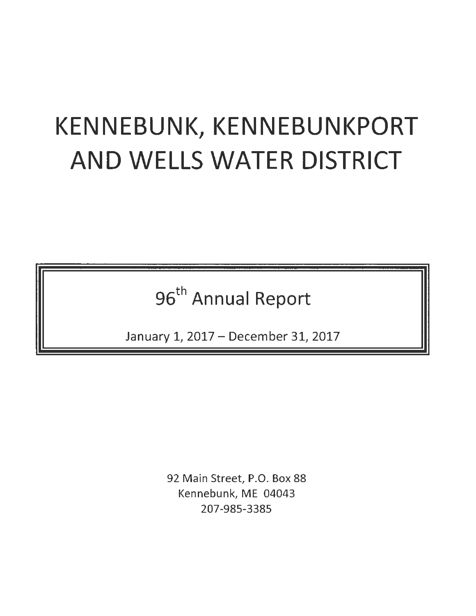# KENNEBUNK, KENNEBUNKPORT AND WELLS WATER DISTRICT

96<sup>th</sup> Annual Report

January 1, 2017 - December 31, 2017

92 Main Street, P.O. Box 88 Kennebunk, ME 04043 207-985-3385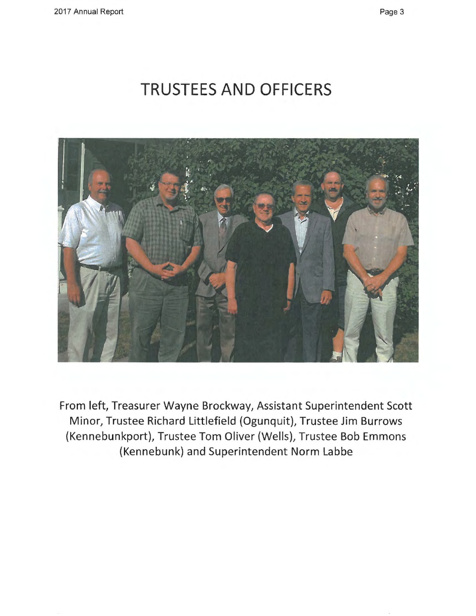# **TRUSTEES AND OFFICERS**



From left, Treasurer Wayne Brockway, Assistant Superintendent Scott Minor, Trustee Richard Littlefield (Ogunquit), Trustee Jim Burrows (Kennebunkport), Trustee Tom Oliver (Wells), Trustee Bob Emmons (Kennebunk) and Superintendent Norm Labbe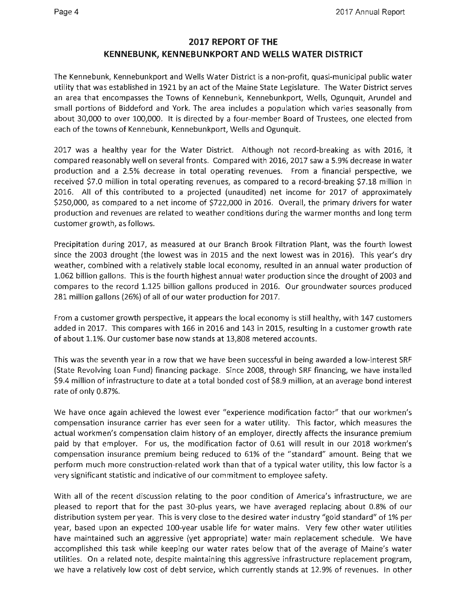## **2017 REPORT OF THE KENNEBUNK, KENNEBUNKPORT AND WELLS WATER DISTRICT**

The Kennebunk, Kennebunkport and Wells Water District is a non-profit, quasi-municipal public water utility that was established in 1921 by an act of the Maine State Legislature. The Water District serves an area that encompasses the Towns of Kennebunk, Kennebunkport, Wells, Ogunquit, Arundel and small portions of Biddeford and York. The area includes a population which varies seasonally from about 30,000 to over 100,000. It is directed by a four-member Board of Trustees, one elected from each of the towns of Kennebunk, Kennebunkport, Wells and Ogunquit.

2017 was a healthy year for the Water District. Although not record-breaking as with 2016, it compared reasonably well on several fronts. Compared with 2016, 2017 saw a 5.9% decrease in water production and a 2.5% decrease in total operating revenues. From a financial perspective, we received \$7.0 million in total operating revenues, as compared to a record-breaking \$7.18 million in 2016. All of this contributed to a projected (unaudited) net income for 2017 of approximately \$250,000, as compared to a net income of \$722,000 in 2016. Overall, the primary drivers for water production and revenues are related to weather conditions during the warmer months and long term customer growth, as follows.

Precipitation during 2017, as measured at our Branch Brook Filtration Plant, was the fourth lowest since the 2003 drought (the lowest was in 2015 and the next lowest was in 2016). This year's dry weather, combined with a relatively stable local economy, resulted in an annual water production of 1.062 billion gallons. This is the fourth highest annual water production since the drought of 2003 and compares to the record 1.125 billion gallons produced in 2016. Our groundwater sources produced 281 million gallons (26%) of all of our water production for 2017.

From a customer growth perspective, it appears the local economy is still healthy, with 147 customers added in 2017. This compares with 166 in 2016 and 143 in 2015, resulting in a customer growth rate of about 1.1%. Our customer base now stands at 13,808 metered accounts.

This was the seventh year in a row that we have been successful in being awarded a low-interest SRF (State Revolving Loan Fund) financing package. Since 2008, through SRF financing, we have installed \$9.4 million of infrastructure to date at a total bonded cost of \$8.9 million, at an average bond interest rate of only 0.87%.

We have once again achieved the lowest ever "experience modification factor" that our workmen's compensation insurance carrier has ever seen for a water utility. This factor, which measures the actual workmen's compensation claim history of an employer, directly affects the insurance premium paid by that employer. For us, the modification factor of 0.61 will result in our 2018 workmen's compensation insurance premium being reduced to 61% of the "standard" amount. Being that we perform much more construction-related work than that of a typical water utility, this low factor is a very significant statistic and indicative of our commitment to employee safety.

With all of the recent discussion relating to the poor condition of America's infrastructure, we are pleased to report that for the past 30-plus years, we have averaged replacing about 0.8% of our distribution system per year. This is very close to the desired water industry "gold standard" of 1% per year, based upon an expected 100-year usable life for water mains. Very few other water utilities have maintained such an aggressive (yet appropriate) water main replacement schedule. We have accomplished this task while keeping our water rates below that of the average of Maine's water utilities. On a related note, despite maintaining this aggressive infrastructure replacement program, we have a relatively low cost of debt service, which currently stands at 12.9% of revenues. In other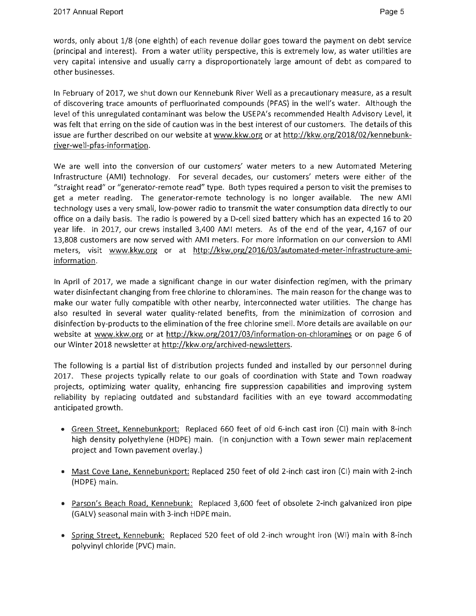words, only about 1/8 (one eighth) of each revenue dollar goes toward the payment on debt service (principal and interest). From a water utility perspective, this is extremely low, as water utilities are very capital intensive and usually carry a disproportionately large amount of debt as compared to other businesses.

In February of 2017, we shut down our Kennebunk River Well as a precautionary measure, as a result of discovering trace amounts of perfluorinated compounds (PFAS} in the well's water. Although the level of this unregulated contaminant was below the USEPA's recommended Health Advisory Level, it was felt that erring on the side of caution was in the best interest of our customers. The details of this issue are further described on our website at www.kkw.org or at http://kkw.org/2018/02/kennebunkriver-well-pfas-information.

We are well into the conversion of our customers' water meters to a new Automated Metering Infrastructure (AMI} technology. For several decades, our customers' meters were either of the "straight read" or "generator-remote read" type. Both types required a person to visit the premises to get a meter reading. The generator-remote technology is no longer available. The new AMI technology uses a very small, low-power radio to transmit the water consumption data directly to our office on a daily basis. The radio is powered by a 0-cell sized battery which has an expected 16 to 20 year life. In 2017, our crews installed 3,400 AMI meters. As of the end of the year, 4,167 of our 13,808 customers are now served with AMI meters. For more information on our conversion to AMI meters, visit www.kkw.org or at http://kkw.org/2016/03/automated-meter-infrastructure-amiinformation.

In April of 2017, we made a significant change in our water disinfection regimen, with the primary water disinfectant changing from free chlorine to chloramines. The main reason for the change was to make our water fully compatible with other nearby, interconnected water utilities. The change has also resulted in several water quality-related benefits, from the minimization of corrosion and disinfection by-products to the elimination of the free chlorine smell. More details are available on our website at www.kkw.org or at http://kkw.org/2017/03/information-on-chloramines or on page 6 of our Winter 2018 newsletter at http://kkw.org/archived-newsletters.

The following is a partial list of distribution projects funded and installed by our personnel during 2017. These projects typically relate to our goals of coordination with State and Town roadway projects, optimizing water quality, enhancing fire suppression capabilities and improving system reliability by replacing outdated and substandard facilities with an eye toward accommodating anticipated growth.

- Green Street, Kennebunkport: Replaced 660 feet of old 6-inch cast iron (Cl} main with 8-inch high density polyethylene (HOPE} main. (In conjunction with a Town sewer main replacement project and Town pavement overlay.)
- Mast Cove Lane, Kennebunkport: Replaced 250 feet of old 2-inch cast iron (Cl) main with 2-inch (HOPE) main.
- Parson's Beach Road, Kennebunk: Replaced 3,600 feet of obsolete 2-inch galvanized iron pipe (GALV} seasonal main with 3-inch HOPE main.
- Spring Street, Kennebunk: Replaced 520 feet of old 2-inch wrought iron (WI) main with 8-inch polyvinyl chloride (PVC) main.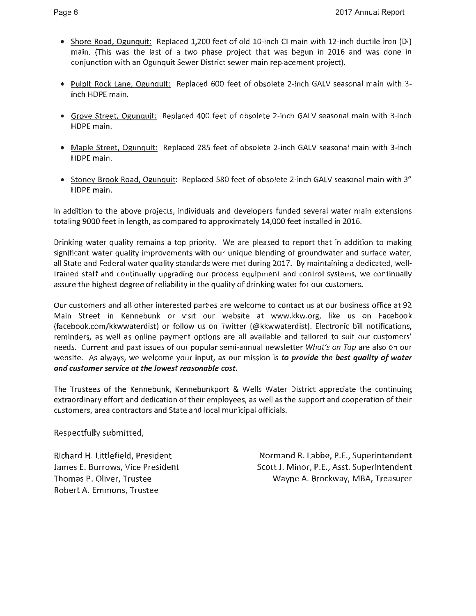- Shore Road, Ogunquit: Replaced 1,200 feet of old 10-inch Cl main with 12-inch ductile iron (DI) main. (This was the last of a two phase project that was begun in 2016 and was done in conjunction with an Ogunquit Sewer District sewer main replacement project).
- Pulpit Rock Lane, Ogunquit: Replaced 600 feet of obsolete 2-inch GALV seasonal main with 3 inch HDPE main.
- Grove Street, Ogunquit: Replaced 400 feet of obsolete 2-inch GALV seasonal main with 3-inch HDPE main.
- Maple Street, Ogunquit: Replaced 285 feet of obsolete 2-inch GALV seasonal main with 3-inch HDPE main.
- Stoney Brook Road, Ogunquit: Replaced 580 feet of obsolete 2-inch GALV seasonal main with 3" HDPE main.

In addition to the above projects, individuals and developers funded several water main extensions totaling 9000 feet in length, as compared to approximately 14,000 feet installed in 2016.

Drinking water quality remains a top priority. We are pleased to report that in addition to making significant water quality improvements with our unique blending of groundwater and surface water, all State and Federal water quality standards were met during 2017. By maintaining a dedicated, welltrained staff and continually upgrading our process equipment and control systems, we continually assure the highest degree of reliability in the quality of drinking water for our customers.

Our customers and all other interested parties are welcome to contact us at our business office at 92 Main Street in Kennebunk or visit our website at www.kkw.org, like us on Facebook (facebook.com/kkwwaterdist) or follow us on Twitter (@kkwwaterdist). Electronic bill notifications, reminders, as well as online payment options are all available and tailored to suit our customers' needs. Current and past issues of our popular semi-annual newsletter What's on Tap are also on our website. As always, we welcome your input, as our mission is *to provide the best quality of water and customer service at the lowest reasonable cost.* 

The Trustees of the Kennebunk, Kennebunkport & Wells Water District appreciate the continuing extraordinary effort and dedication of their employees, as well as the support and cooperation of their customers, area contractors and State and local municipal officials.

Respectfully submitted,

Richard H. Littlefield, President James E. Burrows, Vice President Thomas P. Oliver, Trustee Robert A. Emmons, Trustee

Normand R. Labbe, P.E., Superintendent Scott J. Minor, P.E., Asst. Superintendent Wayne A. Brockway, MBA, Treasurer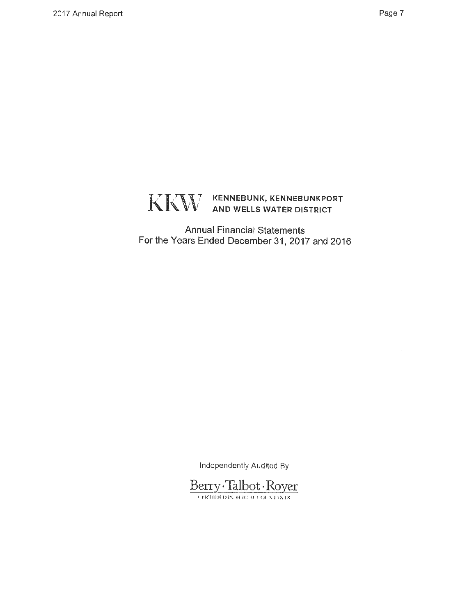#### **l**<br>*l* **/-r·1 ,7\\** *J;;* **KENNEBUNK, KENNEBUNKPORT**  <sup>~</sup>**\i'V AND WELLS WATER DISTRICT**

Annual Financial Statements For the Years Ended December 31, 2017 and 2016

Independently Audited By

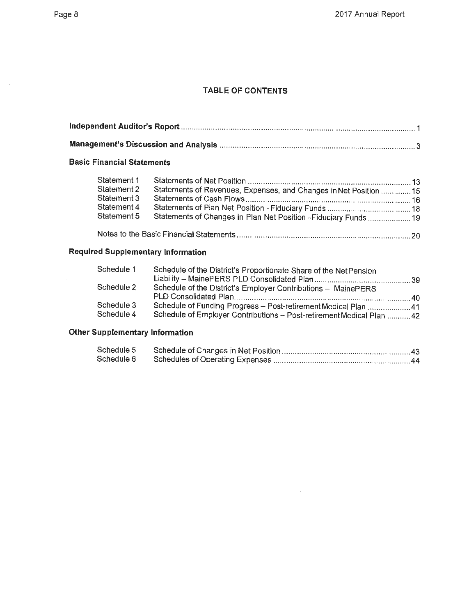$\mathcal{L}_{\mathrm{eff}}$ 

 $\sim$ 

#### **TABLE OF CONTENTS**

## **Basic Financial Statements**

| Statement 1 |                                                                   |  |
|-------------|-------------------------------------------------------------------|--|
| Statement 2 | Statements of Revenues, Expenses, and Changes in Net Position  15 |  |
| Statement 3 |                                                                   |  |
| Statement 4 |                                                                   |  |
| Statement 5 | Statements of Changes in Plan Net Position - Fiduciary Funds  19  |  |
|             |                                                                   |  |
|             |                                                                   |  |

## **Required Supplementary Information**

| Schedule 1               | Schedule of the District's Proportionate Share of the NetPension                                                                         |  |
|--------------------------|------------------------------------------------------------------------------------------------------------------------------------------|--|
| Schedule 2               | Schedule of the District's Employer Contributions - MainePERS                                                                            |  |
| Schedule 3<br>Schedule 4 | Schedule of Funding Progress - Post-retirement Medical Plan  41<br>Schedule of Employer Contributions - Post-retirement Medical Plan  42 |  |

## **Other Supplementary Information**

| Schedule 5 |  |
|------------|--|
| Schedule 6 |  |

 $\sim 10^{-10}$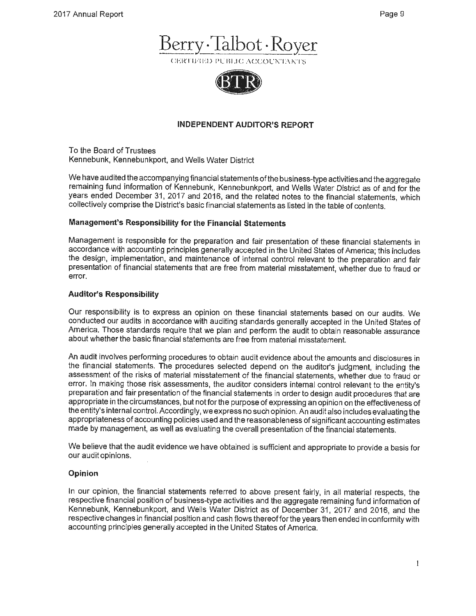# Berry · Talbot· Royer

CERTIFIED PUBLIC ACCOUNTANTS



#### **INDEPENDENT AUDITOR'S REPORT**

To the Board of Trustees Kennebunk, Kennebunkport, and Wells Water District

We have audited the accompanying financial statements of the business-type activities and the aggregate remaining fund information of Kennebunk, Kennebunkport, and Wells Water District as of and for the years ended December 31, 2017 and 2016, and the related notes to the financial statements, which collectively comprise the District's basic financial statements as listed in the table of contents.

#### **Management's Responsibility for the Financial Statements**

Management is responsible for the preparation and fair presentation of these financial statements in accordance with accounting principles generally accepted in the United States of America; this includes the design, implementation, and maintenance of internal control relevant to the preparation and fair presentation of financial statements that are free from material misstatement, whether due to fraud or error.

#### **Auditor's Responsibility**

Our responsibility is to express an opinion on these financial statements based on our audits. We conducted our audits in accordance with auditing standards generally accepted in the United States of America. Those standards require that we plan and perform the audit to obtain reasonable assurance about whether the basic financial statements are free from material misstatement

An audit involves performing procedures to obtain audit evidence about the amounts and disclosures in the financial statements. The procedures selected depend on the auditor's judgment, including the assessment of the risks of material misstatement of the financial statements, whether due to fraud or error. In making those risk assessments, the auditor considers internal control relevant to the entity's preparation and fair presentation of the financial statements in order to design audit procedures that are appropriate in the circumstances, but not for the purpose of expressing an opinion on the effectiveness of the entity's internal control. Accordingly, we express no such opinion. An audit also includes evaluating the appropriateness of accounting policies used and the reasonableness of significant accounting estimates made by management, as well as evaluating the overall presentation of the financial statements.

We believe that the audit evidence we have obtained is sufficient and appropriate to provide a basis for our audit opinions.

#### **Opinion**

In our opinion, the financial statements referred to above present fairly, in all material respects, the respective financial position of business-type activities and the aggregate remaining fund information of Kennebunk, Kennebunkport, and Wells Water District as of December 31, 2017 and 2016, and the respective changes in financial position and cash flows thereof for the years then ended in conformity with accounting principles generally accepted in the United States of America.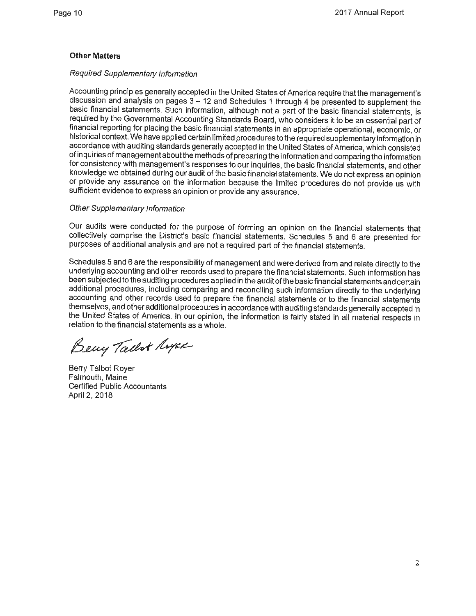#### **Other Matters**

#### Required Supplementary Information

Accounting principles generally accepted in the United States of America require that the management's discussion and analysis on pages 3 - 12 and Schedules 1 through 4 be presented to supplement the basic financial statements. Such information, although not a part of the basic financial statements, is required by the Governmental Accounting Standards Board, who considers it to be an essential part of financial reporting for placing the basic financial statements in an appropriate operational, economic, or historical context. We have applied certain limited procedures to the required supplementary information in accordance with auditing standards generally accepted in the United States of America, which consisted of inquiries of management about the methods of preparing the information and comparing the information for consistency with management's responses to our inquiries, the basic financial statements, and other knowledge we obtained during our audit of the basic financial statements. We do not express an opinion or provide any assurance on the information because the limited procedures do not provide us with sufficient evidence to express an opinion or provide any assurance.

#### Other Supplementary Information

Our audits were conducted for the purpose of forming an opinion on the financial statements that collectively comprise the District's basic financial statements. Schedules 5 and 6 are presented for purposes of additional analysis and are not a required part of the financial statements.

Schedules 5 and 6 are the responsibility of management and were derived from and relate directly to the underlying accounting and other records used to prepare the financial statements. Such information has been subjected to the auditing procedures applied in the audit of the basic financial statements and certain additional procedures, including comparing and reconciling such information directly to the underlying accounting and other records used to prepare the financial statements or to the financial statements themselves, and other additional procedures in accordance with auditing standards generally accepted in the United States of America. In our opinion, the information is fairly stated in all material respects in relation to the financial statements as a whole.

Beny Tallot Royer

Berry Talbot Royer Falmouth, Maine Certified Public Accountants April 2, 2018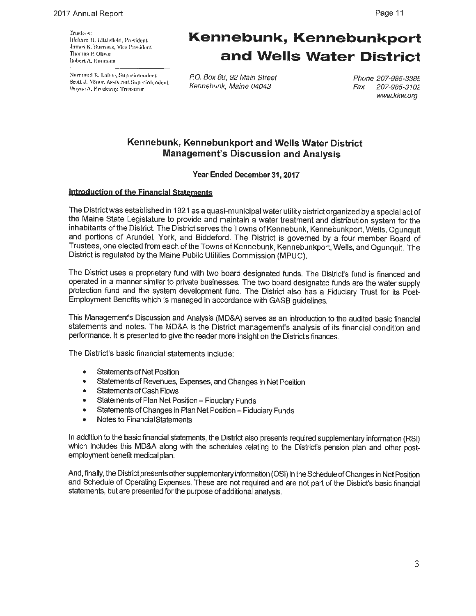$\bar{\text{Normal R}}$ . Labbe, Superintendent  $S$ cott J. Minor, Assistant Supcrintendent **\V:1y11ci A. A1·,1ckwuy. 'l)·,•nsun~r** 

## Kennebunk, Kennebunkport **and Wells Water District**

P.O. Box 88, 92 Main Street Kennebunk, Maine 04043

Phone 207-985-338: Fax 207-985-3102 www.kkw.org

## **Kennebunk, Kennebunkport and Wells Water District Management's Discussion and Analysis**

**Year Ended December 31, 2017** 

#### **Introduction of the Einancial Statements**

The District was established in 1921 as a quasi-municipal water utility district organized by a special act of the Maine State Legislature to provide and maintain a water treatment and distribution system for the inhabitants of the District. The District serves the Towns of Kennebunk, Kennebunkport, Wells, Ogunquit and portions of Arundel, York, and Biddeford. The District is governed by a four member Board of Trustees, one elected from each of the Towns of Kennebunk, Kennebunkport, Wells, and Ogunquit. The District is regulated by the Maine Public Utilities Commission (MPUC).

The District uses a proprietary fund with two board designated funds. The District's fund is financed and operated in a manner similar to private businesses. The two board designated funds are the water supply protection fund and the system development fund. The District also has a Fiduciary Trust for its Post-Employment Benefits which is managed in accordance with GASB guidelines.

This Management's Discussion and Analysis (MD&A) serves as an introduction to the audited basic financial statements and notes. The MD&A is the District management's analysis of its financial condition and performance. It is presented to give the reader more insight on the District's finances.

The District's basic financial statements include:

- Statements of Net Position
- Statements of Revenues, Expenses, and Changes in Net Position
- Statements of Cash Flows
- Statements of Plan Net Position Fiduciary Funds
- Statements of Changes in Plan Net Position Fiduciary Funds
- Notes to FinancialStatements

In addition to the basic financial statements, the District also presents required supplementary information (RSI) which includes this MD&A along with the schedules relating to the District's pension plan and other postemployment benefit medical plan.

And, finally, the District presents other supplementary information (OSI) in the Schedule of Changes in Net Position and Schedule of Operating Expenses. These are not required and are not part of the District's basic financial statements, but are presented for the purpose of additional analysis.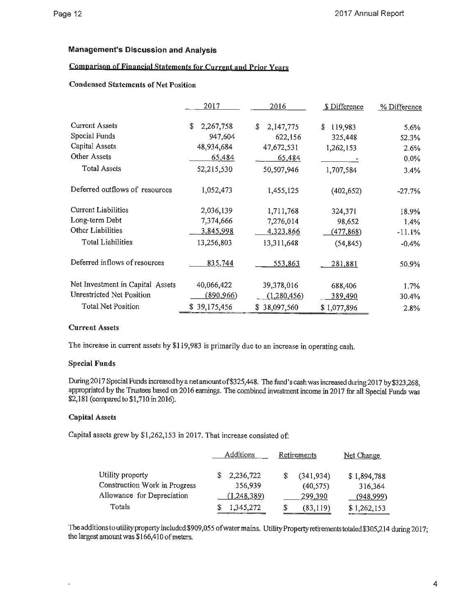#### **Comparjsou or Fjnancjal Statements for Current and Prior Years**

#### **Condensed Statements of Net Position**

|                                  | 2017            | 2016            | \$ Difference | % Difference |
|----------------------------------|-----------------|-----------------|---------------|--------------|
| <b>Current Assets</b>            | \$<br>2,267,758 | \$<br>2,147,775 | 119,983<br>\$ | 5.6%         |
| Special Funds                    | 947,604         | 622,156         | 325,448       | 52.3%        |
| Capital Assets                   | 48,934,684      | 47,672,531      | 1,262,153     | 2.6%         |
| <b>Other Assets</b>              | 65,484          | 65,484          |               | 0.0%         |
| <b>Total Assets</b>              | 52,215,530      | 50,507,946      | 1,707,584     | 3.4%         |
| Deferred outflows of resources   | 1,052,473       | 1,455,125       | (402, 652)    | $-27.7%$     |
| <b>Current Liabilities</b>       | 2,036,139       | 1,711,768       | 324,371       | 18.9%        |
| Long-term Debt                   | 7,374,666       | 7,276,014       | 98,652        | 1.4%         |
| Other Liabilities                | 3,845,998       | 4,323,866       | (477, 868)    | $-11.1%$     |
| Total Liabilities                | 13,256,803      | 13,311,648      | (54, 845)     | $-0.4%$      |
| Deferred inflows of resources    | 835,744         | 553,863         | 281,881       | 50.9%        |
| Net Investment in Capital Assets | 40,066,422      | 39,378,016      | 688,406       | 1.7%         |
| Unrestricted Net Position        | (890, 966)      | (1,280,456)     | 389,490       | 30.4%        |
| Total Net Position               | \$39,175,456    | \$38,097,560    | \$1,077,896   | 2.8%         |

#### **Current Assets**

The increase in current assets by \$119,983 is primarily due to an increase in operating cash.

#### **Special Funds**

During 2017 Special Funds increased by a net amount of\$325,448. The fund's cash was increased during 2017 by \$323,268, appropriated by the Trustees based on 2016 earnings. The combined investment income in 2017 for all Special Funds was \$2,181 (comparedto\$1,710 in2016).

#### **Capital Assets**

.

Capital assets grew by \$1,262,153 in 2017. That increase consisted of:

|                               | Additions   |    | Retirements | Net Change  |  |
|-------------------------------|-------------|----|-------------|-------------|--|
| Utility property              | 2,236,722   |    | (341, 934)  | \$1,894,788 |  |
| Construction Work in Progress | 356,939     |    | (40, 575)   | 316,364     |  |
| Allowance for Depreciation    | (1,248,389) |    | 299.390     | (948,999)   |  |
| Totals                        | 1,345,272   | \$ | (83, 119)   | \$1,262,153 |  |

The additions to utility property included \$909,055 of water mains. Utility Property retirements totaled\$305,214 during 2017; the largest amount was \$166,410 of meters.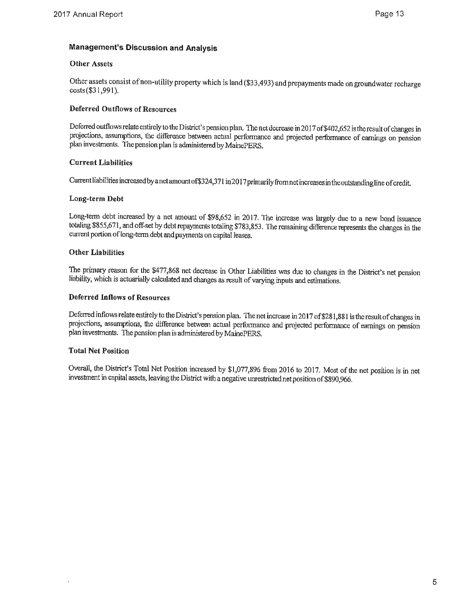#### **Other Assets**

Other assets consist ofnon-utility property which is land (\$33,493) and prepayments made on groundwater recharge costs (\$31,991).

#### **Deferred Outflows of Resources**

Deferred outflows relate entirely to the District's pension plan. The net decrease in 2017 of\$402,652 is the result of changes in projections, assumptions, the difference between actual perfonnance and projected perfonnance of earnings on pension plan investments. The pension plan is administered by MainePERS.

#### **Current Liabilities**

Current liabilities increased by a netamountof\$324,371 in2017 primarilyfromnetincreases in the outstanding line of credit.

#### **Long-term Debt**

Long-term debt increased by a net amount of \$98,652 in 2017. The increase was largely due to a new bond issuance totaling \$855,671, and off-set by debt repayments totaling \$783,853. The remaining difference represents the changes in the current portion of long-term debt and payments on capital leases.

#### **Other Liabilities**

The primary reason for the \$477,868 net decrease in Other Liabilities was due to changes in the District's net pension liability, which is actuarially calculated and changes as result of varying inputs and estimations.

#### **Deferred Inflows of Resources**

Deferred inflows relate entirely to the District's pension plan. The net increase in 2017 of\$28 l,881 is the result of changes in projections, assumptions, the difference between actual perfonnance and projected performance of earnings on pension plan investments. The pension plan is administered by MainePERS.

#### **Total Net Position**

Overall, the District's Total Net Position increased by \$1,077,896 from 2016 to 2017. Most of the net position is in net investment in capital assets, leaving the District with a negative unrestricted net position of \$890,966.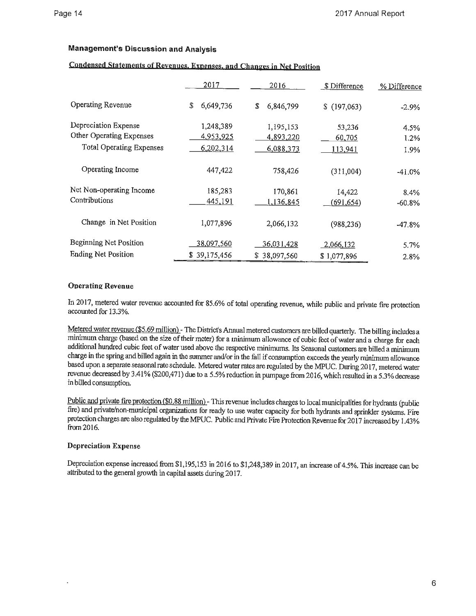### **Condensed Statements of Beveuues, Expenses, and Changes in Net Position**

|                                 | 2017            | 2016              | <u>S</u> Difference | % Difference |
|---------------------------------|-----------------|-------------------|---------------------|--------------|
| Operating Revenue               | \$<br>6,649,736 | \$<br>6,846,799   | \$(197,063)         | $-2.9%$      |
| Depreciation Expense            | 1,248,389       | 1,195,153         | 53,236              | 4.5%         |
| Other Operating Expenses        | 4,953,925       | 4,893,220         | <u>60,705</u>       | 1.2%         |
| <b>Total Operating Expenses</b> | 6,202,314       | 6,088,373         | 113,941             | 1.9%         |
| Operating Income                | 447,422         | 758,426           | (311,004)           | $-41.0%$     |
| Net Non-operating Income        | 185,283         | 170,861           | 14,422              | 8.4%         |
| Contributions                   | 445,191         | 1,136,845         | (691, 654)          | $-60.8%$     |
| Change in Net Position          | 1,077,896       | 2,066,132         | (988, 236)          | $-47.8%$     |
| <b>Beginning Net Position</b>   | 38,097,560      | <u>36,031,428</u> | 2,066,132           | 5.7%         |
| <b>Ending Net Position</b>      | \$39,175,456    | \$38,097,560      | \$1,077,896         | 2.8%         |

#### **Operatine: Revenue**

In 2017, metered water revenue accounted for 85.6% of total operating revenue, while public and private fire protection accounted for 13.3%.

Metered water revenue (\$5.69 million) - The District's Annual metered customers are billed quarterly. The billing includes a minimum charge (based on the size of their meter) for a minimum allowance of cubic feet of water and a charge for each additional hundred cubic feet of water used above the respective minimums. Its Seasonal customers are billed a minimum charge in the spring and billed again in the summer and/or in the fall if consumption exceeds the yearly minimum allowance based upon a separate seasonal rate schedule. Metered water rates are regulated by the MPUC. During 2017, metered water revenue decreased by 3 .41 % (\$200,471) due to a 5.5% reduction in pumpage from 2016, which resulted in a 5 .3 % decrease in billed consumption.

Public and private fire protection (\$0,88 million) - This revenue includes charges to local municipalities for hydrants (public fire) and private/non-municipal organizations for ready to use water capacity for both hydrants and sprinkler systems. Fire protection charges are also regulated by the MPUC. Public and Private Fire Protection Revenue for 2017 increased by 1.43% from2016.

#### **Depreciation Expense**

Depreciation expense increased from \$1,195,153 in 2016 to \$1,248,389 in 2017, an increase of 4.5%. This increase can be attributed to the general growth in capital assets during 2017.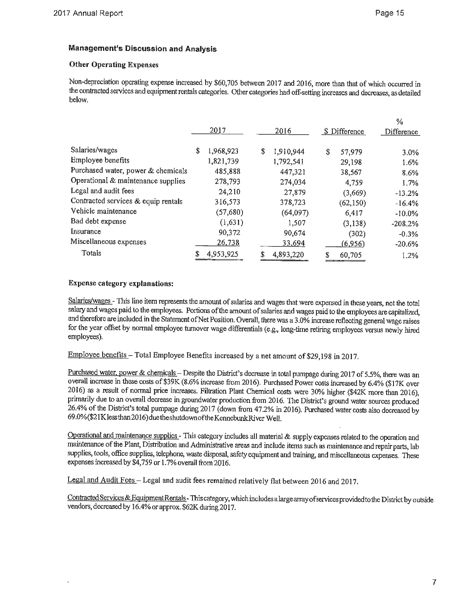#### **Other Operating Expenses**

Non-depreciation operating expense increased by \$60,705 between 2017 and 2016, more than that of which occurred in the contracted services and equipment rentals categories. Other categories had off-setting increases and decreases, as detailed below.

|          |                                                                                                                                   |                                                                        |        | %                                                                                                           |
|----------|-----------------------------------------------------------------------------------------------------------------------------------|------------------------------------------------------------------------|--------|-------------------------------------------------------------------------------------------------------------|
|          | 2016                                                                                                                              |                                                                        |        | Difference                                                                                                  |
|          |                                                                                                                                   |                                                                        |        |                                                                                                             |
| \$<br>\$ | 1,910,944                                                                                                                         | \$                                                                     | 57,979 | 3.0%                                                                                                        |
|          | 1,792,541                                                                                                                         |                                                                        |        | 1.6%                                                                                                        |
|          |                                                                                                                                   |                                                                        |        | 8.6%                                                                                                        |
|          |                                                                                                                                   |                                                                        |        | 1.7%                                                                                                        |
|          |                                                                                                                                   |                                                                        |        | $-13.2%$                                                                                                    |
|          |                                                                                                                                   |                                                                        |        | $-16.4%$                                                                                                    |
|          |                                                                                                                                   |                                                                        |        | $-10.0\%$                                                                                                   |
|          |                                                                                                                                   |                                                                        |        | $-208.2%$                                                                                                   |
|          |                                                                                                                                   |                                                                        |        | $-0.3%$                                                                                                     |
|          | 33,694                                                                                                                            |                                                                        |        | $-20.6%$                                                                                                    |
|          | 4,893,220                                                                                                                         | S                                                                      | 60,705 | $1.2\%$                                                                                                     |
|          | 2017<br>1,968,923<br>1,821,739<br>485,888<br>278,793<br>24,210<br>316,573<br>(57,680)<br>(1,631)<br>90,372<br>26,738<br>4,953,925 | 447,321<br>274,034<br>27,879<br>378,723<br>(64,097)<br>1,507<br>90,674 |        | \$ Difference<br>29,198<br>38,567<br>4,759<br>(3,669)<br>(62, 150)<br>6.417<br>(3, 138)<br>(302)<br>(6,956) |

#### **Expense category explanations:**

Salaries/wages - This line item represents the amount of salaries and wages that were expensed in these years, not the total salary and wages paid to the employees. Portions of the amount of salaries and wages paid to the employees are capitalized, and therefore are included in the Statement of Net Position. Overall, there was a 3.0% increase reflecting general wage raises for the year offset by normal employee turnover wage differentials (e.g., long-time retiring employees versus newly hired employees).

Employee benefits - Total Employee Benefits increased by a net amount of \$29,198 in 2017.

Purchased water, power & chemicals - Despite the District's decrease in total pumpage during 2017 of 5.5%, there was an overall increase in these costs of \$39K (8.6% increase from 2016). Purchased Power costs increased by 6.4% (\$17K over 2016) as a result of normal price increases. Filtration Plant Chemical costs were 30% higher (\$42K more than 2016), primarily due to an overall decrease in groundwater production from 2016. The District's ground water sources produced 26.4% of the District's total pumpage during 2017 (down from 47.2% in 2016). Purchased water costs also decreased by 69.0%(\$21Klessthan2016)duetheshutdownoftheKennebunkRiver Well.

Operational and maintenance supplies - This category includes all material & supply expenses related to the operation and maintenance of the Plant, Distribution and Administrative areas and include items such as maintenance and repair parts, lab supplies, tools, office supplies, telephone, waste disposal, safety equipment and training, and miscellaneous expenses. These expenses increased by \$4,759 or 1.7% overall from 2016.

Legal and Audit Fees - Legal and audit fees remained relatively flat between 2016 and 2017.

Contracted Services & Equipment Rentals-This category, which includes a large array of services provided to the District by outside vendors, decreased by 16.4% or approx. \$62K during 2017.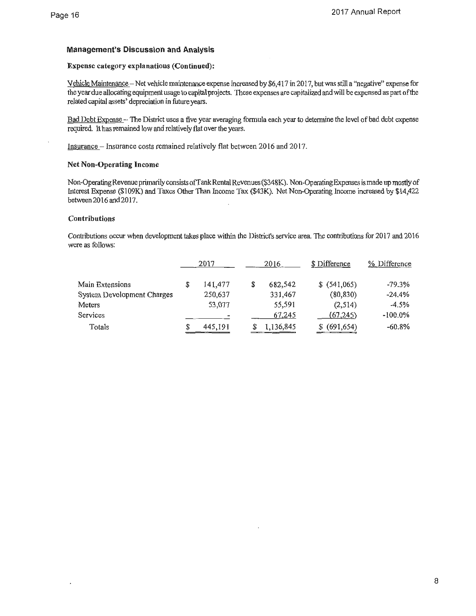#### **Expense category explanations (Continued):**

Vehicle Maintenance-Net vehicle maintenance expense increased by \$6,417 in 2017, but was still a "negative" expense for the year due allocating equipment usage to capital projects. These expenses are capitalized and will be expensed as part of the related capital assets' depreciation in future years.

Bad Debt Expense -- The District uses a five year averaging formula each year to determine the level of bad debt expense required. It has remained low and relatively flat over the years.

Insurance - Insurance costs remained relatively flat between 2016 and 2017.

#### **Net Non-Operating Income**

Non-Operating Revenue primarily consists of Tank Rental Revenues (\$348K). Non-Operating Expenses is made up mostly of Interest Expense (\$109K) and Taxes Other Than Income Tax (\$43K). Net Non-Operating Income increased by \$14,422 between 2016 and 2017.

#### **Contributions**

Contributions occur when development takes place within the District's service area. The contributions for 2017 and 2016 were as follows:

|                            | 2017          | 2016      | \$ Difference | % Difference |
|----------------------------|---------------|-----------|---------------|--------------|
| Main Extensions            | \$<br>141,477 | 682,542   | \$ (541,065)  | $-79.3%$     |
| System Development Charges | 250,637       | 331,467   | (80, 830)     | $-24.4%$     |
| Meters                     | 53,077        | 55,591    | (2,514)       | $-4.5%$      |
| Services                   |               | 67,245    | (67, 245)     | $-100.0\%$   |
| Totals                     | \$<br>445,191 | 1,136,845 | \$ (691, 654) | $-60.8\%$    |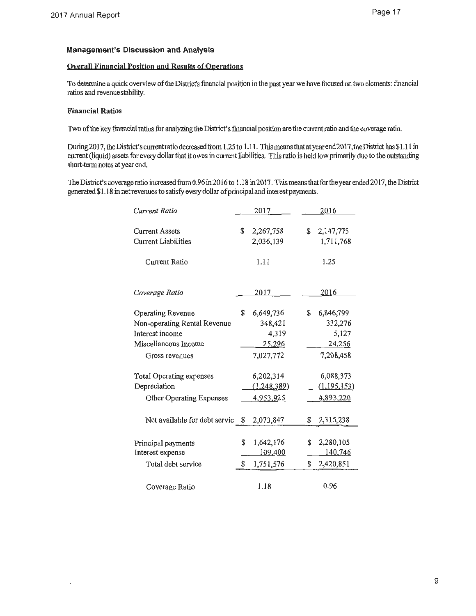#### **Qyerall Financial Position and Results of Operations**

To detennine a quick overview of the District's financial position in the past year we have focused on two elements: financial ratios and revenuestability.

#### **Financial Ratios**

 $\tilde{\phantom{a}}$ 

Two of the key financial ratios for analyzing the District's financial position are the current ratio and the coverage ratio.

During2017, the District's current ratio decreased from 1.25 to 1.11. This means that at year end2017, the District has \$1.11 in current (liquid) assets for every dollar that it owes in current liabilities. This ratio is held low primarily due to the outstanding short-term notes at year end.

The District's coverage ratio increased from 0.96 in 2016 to 1.18 in 2017. This means that for the year ended 2017, the District generated \$1. 18 in net revenues to satisfy every dollar of principal and interest payments.

| Current Ratio                                                                                                  | 2017                                                       | 2016                                                       |
|----------------------------------------------------------------------------------------------------------------|------------------------------------------------------------|------------------------------------------------------------|
| <b>Current Assets</b><br><b>Current Liabilities</b>                                                            | \$<br>2,267,758<br>2,036,139                               | $\mathbb{S}$<br>2,147,775<br>1,711,768                     |
| Current Ratio                                                                                                  | 1.11                                                       | 1.25                                                       |
| Coverage Ratio                                                                                                 | 2017                                                       | <u>2016</u>                                                |
| Operating Revenue<br>Non-operating Rental Revenue<br>Interest income<br>Miscellaneous Income<br>Gross revenues | 6,649,736<br>\$<br>348,421<br>4,319<br>25,296<br>7,027,772 | 6,846,799<br>\$<br>332,276<br>5,127<br>24,256<br>7,208,458 |
| Total Operating expenses<br>Depreciation<br>Other Operating Expenses<br>Net available for debt servic          | 6,202,314<br>(1,248,389)<br>4,953,925<br>S.<br>2,073,847   | 6,088,373<br>(1, 195, 153)<br>4,893,220<br>2,315,238<br>\$ |
| Principal payments<br>Interest expense<br>Total debt service                                                   | 1,642,176<br>\$<br>109,400<br>\$<br>1,751,576              | 2,280,105<br>\$<br>140,746<br>2,420,851<br>S.              |
| Coverage Ratio                                                                                                 | 1.18                                                       | 0.96                                                       |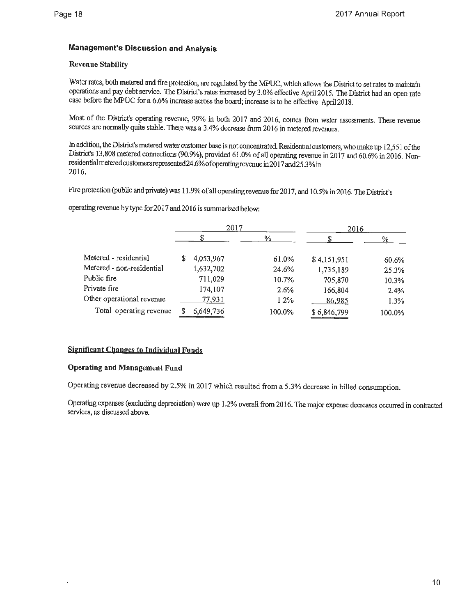#### **Revenue Stability**

Water rates, both metered and fire protection, are regulated by the MPUC, which allows the District to set rates to maintain operations and pay debt service. The District's rates increased by 3.0% effective April 2015. The District had an open rate case before the MPUC for a 6.6% increase across the board; increase is to be effective April 2018.

Most of the District's operating revenue, 99% in both 2017 and 2016, comes from water assessments. These revenue sources are normally quite stable. There was a 3 .4% decrease from 2016 in metered revenues.

1n addition, the District's metered water customer base is not concentrated. Residential customers, who make up 12,551 of the District's 13,808 metered connections (90.9%), provided 61.0% of all operating revenue in 2017 and 60.6% in 2016. Nonresidentialmetered customersrepresented24 .6%ofoperatingrevenue in2017 and25 .3% in 2016.

Fire protection (public and private) was 11.9% of all operating revenue for 2017, and 10.5% in 2016. The District's

operating revenue by type for 2017 and 2016 is summarized below:

|                           | 2017 |           |        | 2016        |        |  |  |
|---------------------------|------|-----------|--------|-------------|--------|--|--|
|                           |      |           | ℅      |             | ℅      |  |  |
| Metered - residential     | S    | 4,053,967 | 61.0%  | \$4,151,951 | 60.6%  |  |  |
| Metered - non-residential |      | 1,632,702 | 24.6%  | 1,735,189   | 25.3%  |  |  |
| Public fire               |      | 711,029   | 10.7%  | 705,870     | 10.3%  |  |  |
| Private fire              |      | 174,107   | 2.6%   | 166,804     | 2.4%   |  |  |
| Other operational revenue |      | 77,931    | 1.2%   | 86,985      | 1.3%   |  |  |
| Total operating revenue   |      | 6,649,736 | 100.0% | \$6,846,799 | 100.0% |  |  |

#### **Sjgnjficant Changes to IndjyjduaJ Funds**

#### **Operating and Management Fund**

Operating revenue decreased by 2.5% in 2017 which resulted from a 5.3% decrease in billed consumption.

Operating expenses ( excluding depreciation) were up 1.2% overall from 2016. The major expense decreases occurred in contracted services, as discussed above.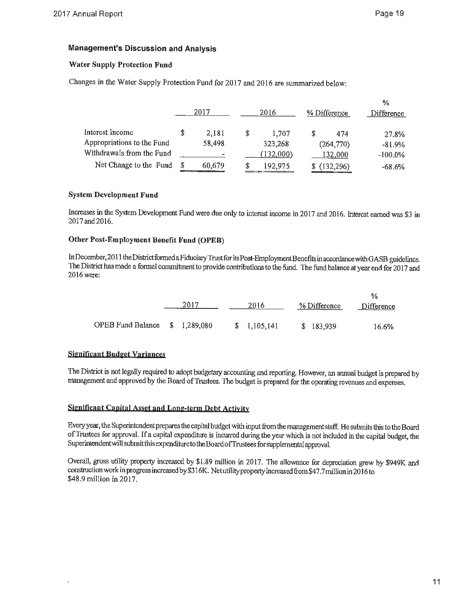#### **Water Supply Protection Fund**

Changes in the Water Supply Protection Fund for 2017 and 2016 are summarized below:

|                                                                                                      | 2017                                |          | 2016                                     |   | % Difference                             | $\%$<br><b>Difference</b>                   |
|------------------------------------------------------------------------------------------------------|-------------------------------------|----------|------------------------------------------|---|------------------------------------------|---------------------------------------------|
| Interest Income<br>Appropriations to the Fund<br>Withdrawals from the Fund<br>Net Change to the Fund | 2.181<br>58,498<br>$\sim$<br>60,679 | \$<br>\$ | 1.707<br>323,268<br>(132,000)<br>192,975 | S | 474<br>(264,770)<br>132,000<br>(132,296) | 27.8%<br>$-81.9%$<br>$-100.0\%$<br>$-68.6%$ |

#### **System Development Fund**

Increases in the System Development Fund were due only to interest income in 2017 and 2016. Interest earned was \$3 in 2017and2016.

#### **Other Post-Employment Benefit Fund (OPEB)**

In December, 2011 the District formed a Fiduciary Trust for its Post-Employment Benefits in accordance with GASB guidelines. The District has made a formal commitment to provide contributions to the fund. The fund balance at year end for 2017 and 2016were:

|                               | 2017 | 2016        | % Difference | $\%$ | Difference |
|-------------------------------|------|-------------|--------------|------|------------|
| OPEB Fund Balance \$1,289,080 |      | \$1,105,141 | \$183,939    |      | 16.6%      |

#### **Significant Budget Variances**

The District is not legally required to adopt budgetary accounting and reporting. However, an annual budget is prepared by management and approved by the Board of Trustees. The budget is prepared for the operating revenues and expenses.

#### **Sjgnjficant Canjtal Asset and Long-term Debt Actjyjty**

Every year, the Superintendent prepares the capital budget with input from the management staff. He submits this to the Board of Trustees for approval. If a capital expenditure is incurred dwing the year which is not included in the capital budget, the Superintendent will submit this expenditure to the Board ofTrustees for supplemental approval.

Overall, gross utility property increased by \$1.89 million in 2017. The allowance for depreciation grew by \$949K and construction work in progress increased by \$3 l 6K. Netutilityproperty increased from \$47. 7 million in 2016 to \$48 .9 million in 2017.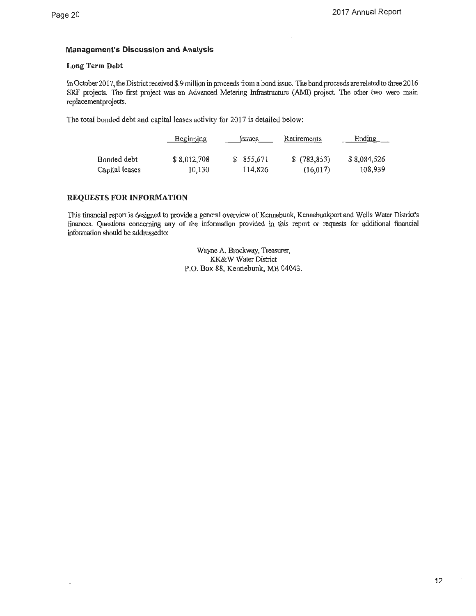$\cdot$ 

#### **Management's Discussion and Analysis**

#### **Long Term Debt**

In October 2017, the District received \$.9 million in proceeds from a bond issue. The bond proceeds are related to three 2016 SRF projects. The first project was an Advanced Metering Infrastructure (AMI) project. The other two were main replacementprojects.

The total bonded debt and capital leases activity for 2017 is detailed below:

|                | Beginning   | Issues    | Retirements  | Ending      |
|----------------|-------------|-----------|--------------|-------------|
| Bonded debt    | \$8,012,708 | \$855,671 | \$(783, 853) | \$8,084,526 |
| Capital leases | 10.130      | 114,826   | (16,017)     | 108,939     |

#### **REQUESTS FOR INFORMATION**

1his financial report is designed to provide a general overview of Kennebunk, Kennebunkport and Wells Water District's finances. Questions concerning any of the information provided in this report or requests for additional financial information should be addressedto:

> Wayne A. Brockway, Treasurer, KK& W Water District P.O. Box 88, Kennebunk, ME 04043.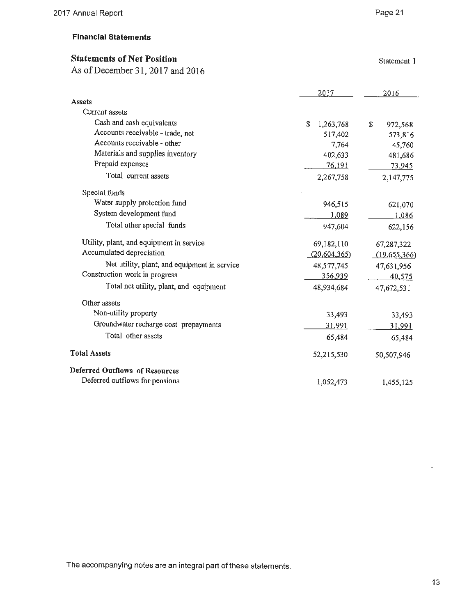## **Statements of Net Position** Statement 1

As of December 31, 2017 and 2016

|                                              | 2017            | 2016          |
|----------------------------------------------|-----------------|---------------|
| <b>Assets</b>                                |                 |               |
| Current assets                               |                 |               |
| Cash and cash equivalents                    | \$<br>1,263,768 | \$<br>972,568 |
| Accounts receivable - trade, net             | 517,402         | 573,816       |
| Accounts receivable - other                  | 7,764           | 45,760        |
| Materials and supplies inventory             | 402,633         | 481,686       |
| Prepaid expenses                             | 76,191          | 73,945        |
| Total current assets                         | 2,267,758       | 2,147,775     |
| Special funds                                |                 |               |
| Water supply protection fund                 | 946,515         | 621,070       |
| System development fund                      | 1,089           | 1,086         |
| Total other special funds                    | 947,604         | 622,156       |
| Utility, plant, and equipment in service     | 69,182,110      | 67,287,322    |
| Accumulated depreciation                     | (20, 604, 365)  | (19,655,366)  |
| Net utility, plant, and equipment in service | 48,577,745      | 47,631,956    |
| Construction work in progress                | 356,939         | 40,575        |
| Total net utility, plant, and equipment      | 48,934,684      | 47,672,531    |
| Other assets                                 |                 |               |
| Non-utility property                         | 33,493          | 33,493        |
| Groundwater recharge cost prepayments        | 31,991          | 31,991        |
| Total other assets                           | 65,484          | 65,484        |
| <b>Total Assets</b>                          | 52,215,530      | 50,507,946    |
| Deferred Outflows of Resources               |                 |               |
| Deferred outflows for pensions               | 1,052,473       | 1,455,125     |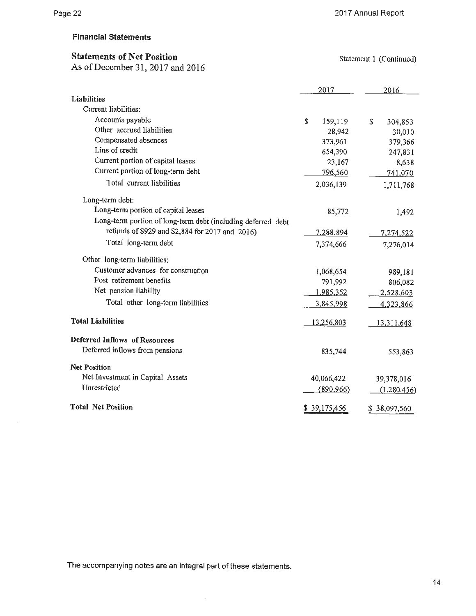$\mathcal{A}^{\mathcal{A}}$ 

#### **Financial Statements**

## **Statements of Net Position Statement 1 (Continued)** Statement 1 (Continued)

As of December 31, 2017 and 2016

|                                                              | 2017 |              | 2016          |
|--------------------------------------------------------------|------|--------------|---------------|
| Liabilities                                                  |      |              |               |
| Current liabilities:                                         |      |              |               |
| Accounts payable                                             | \$.  | 159,119      | \$<br>304,853 |
| Other accrued liabilities                                    |      | 28,942       | 30,010        |
| Compensated absences                                         |      | 373,961      | 379,366       |
| Line of credit                                               |      | 654,390      | 247,831       |
| Current portion of capital leases                            |      | 23,167       | 8,638         |
| Current portion of long-term debt                            |      | 796,560      | 741,070       |
| Total current liabilities                                    |      | 2,036,139    | 1,711,768     |
| Long-term debt:                                              |      |              |               |
| Long-term portion of capital leases                          |      | 85,772       | 1,492         |
| Long-term portion of long-term debt (including deferred debt |      |              |               |
| refunds of \$929 and \$2,884 for 2017 and 2016)              |      | 7,288,894    | 7,274,522     |
| Total long-term debt                                         |      | 7,374,666    | 7,276,014     |
| Other long-term liabilities:                                 |      |              |               |
| Customer advances for construction                           |      | 1,068,654    | 989,181       |
| Post retirement benefits                                     |      | 791,992      | 806,082       |
| Net pension liability                                        |      | 1,985,352    | 2,528,603     |
| Total other long-term liabilities                            |      | 3,845,998    | 4,323,866     |
| <b>Total Liabilities</b>                                     |      | 13,256,803   | 13,311,648    |
| Deferred Inflows of Resources                                |      |              |               |
| Deferred inflows from pensions                               |      | 835,744      | 553,863       |
| <b>Net Position</b>                                          |      |              |               |
| Net Investment in Capital Assets                             |      | 40,066,422   | 39,378,016    |
| Unrestricted                                                 |      | (890,966)    | (1,280,456)   |
| <b>Total Net Position</b>                                    |      | \$39,175,456 | \$38,097,560  |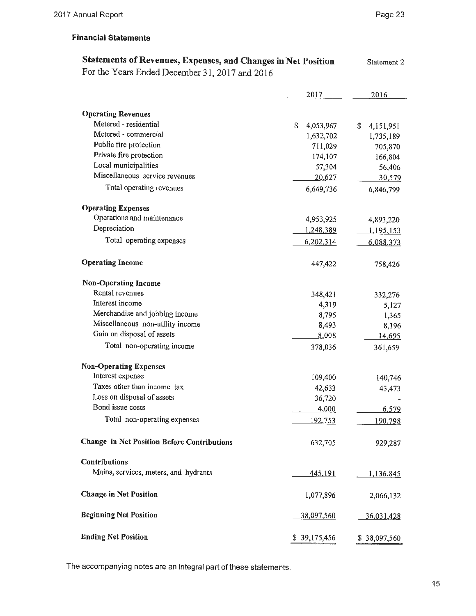| Statements of Revenues, Expenses, and Changes in Net Position | Statement 2     |                  |
|---------------------------------------------------------------|-----------------|------------------|
| For the Years Ended December 31, 2017 and 2016                |                 |                  |
|                                                               |                 |                  |
|                                                               | 2017            | 2016             |
|                                                               |                 |                  |
| <b>Operating Revenues</b>                                     |                 |                  |
| Metered - residential                                         | \$<br>4,053,967 | \$<br>4,151,951  |
| Metered - commercial                                          | 1,632,702       | 1,735,189        |
| Public fire protection                                        | 711,029         | 705,870          |
| Private fire protection                                       | 174,107         | 166,804          |
| Local municipalities                                          | 57,304          | 56,406           |
| Miscellaneous service revenues                                | 20,627          | 30,579           |
| Total operating revenues                                      | 6,649,736       | 6,846,799        |
| <b>Operating Expenses</b>                                     |                 |                  |
| Operations and maintenance                                    | 4,953,925       | 4,893,220        |
| Depreciation                                                  | 1,248,389       | <u>1,195,153</u> |
| Total operating expenses                                      | 6,202,314       | 6,088,373        |
| <b>Operating Income</b>                                       | 447,422         | 758,426          |
| <b>Non-Operating Income</b>                                   |                 |                  |
| Rental revenues                                               | 348,421         |                  |
| Interest income                                               | 4,319           | 332,276<br>5,127 |
| Merchandise and jobbing income                                | 8,795           | 1,365            |
| Miscellaneous non-utility income                              | 8,493           | 8,196            |
| Gain on disposal of assets                                    | 8,008           | 14,695           |
| Total non-operating income                                    | 378,036         | 361,659          |
|                                                               |                 |                  |
| <b>Non-Operating Expenses</b><br>Interest expense             |                 |                  |
| Taxes other than income tax                                   | 109,400         | 140,746          |
|                                                               | 42,633          | 43,473           |
| Loss on disposal of assets<br>Bond issue costs                | 36,720          |                  |
|                                                               | 4,000           | 6,579            |
| Total non-operating expenses                                  | 192,753         | 190,798          |
| Change in Net Position Before Contributions                   | 632,705         | 929,287          |
| Contributions                                                 |                 |                  |
| Mains, services, meters, and hydrants                         | 445,191         | 1,136,845        |
| <b>Change in Net Position</b>                                 | 1,077,896       | 2,066,132        |
| <b>Beginning Net Position</b>                                 | 38,097,560      | 36,031,428       |
| <b>Ending Net Position</b>                                    | \$39,175,456    | \$38,097,560     |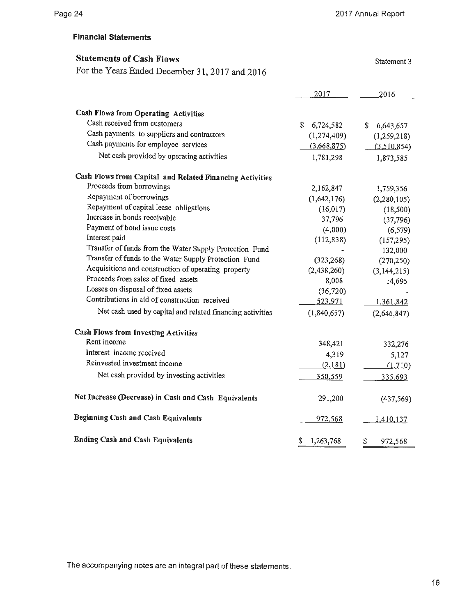| <b>Statements of Cash Flows</b>                           |                 | Statement 3     |
|-----------------------------------------------------------|-----------------|-----------------|
| For the Years Ended December 31, 2017 and 2016            |                 |                 |
|                                                           |                 |                 |
|                                                           | 2017            | 2016            |
| Cash Flows from Operating Activities                      |                 |                 |
| Cash received from customers                              | S<br>6,724,582  | S.<br>6,643,657 |
| Cash payments to suppliers and contractors                | (1, 274, 409)   | (1,259,218)     |
| Cash payments for employee services                       | (3,668,875)     | (3,510,854)     |
| Net cash provided by operating activities                 | 1,781,298       | 1,873,585       |
| Cash Flows from Capital and Related Financing Activities  |                 |                 |
| Proceeds from borrowings                                  | 2,162,847       | 1,759,356       |
| Repayment of borrowings                                   | (1,642,176)     | (2, 280, 105)   |
| Repayment of capital lease obligations                    | (16, 017)       | (18,500)        |
| Increase in bonds receivable                              | 37,796          | (37,796)        |
| Payment of bond issue costs                               | (4,000)         | (6, 579)        |
| Interest paid                                             | (112, 838)      | (157, 295)      |
| Transfer of funds from the Water Supply Protection Fund   |                 | 132,000         |
| Transfer of funds to the Water Supply Protection Fund     | (323, 268)      | (270, 250)      |
| Acquisitions and construction of operating property       | (2,438,260)     | (3,144,215)     |
| Proceeds from sales of fixed assets                       | 8,008           | 14,695          |
| Losses on disposal of fixed assets                        | (36, 720)       |                 |
| Contributions in aid of construction received             | 523,971         | 1,361,842       |
| Net cash used by capital and related financing activities | (1,840,657)     | (2,646,847)     |
| <b>Cash Flows from Investing Activities</b>               |                 |                 |
| Rent income                                               | 348,421         | 332,276         |
| Interest income received                                  | 4,319           | 5,127           |
| Reinvested investment income                              | (2, 181)        | (1,710)         |
| Net cash provided by investing activities                 | 350,559         | 335,693         |
| Net Increase (Decrease) in Cash and Cash Equivalents      | 291,200         | (437, 569)      |
| Beginning Cash and Cash Equivalents                       | 972,568         | 1,410,137       |
| <b>Ending Cash and Cash Equivalents</b>                   | \$<br>1,263,768 | \$<br>972,568   |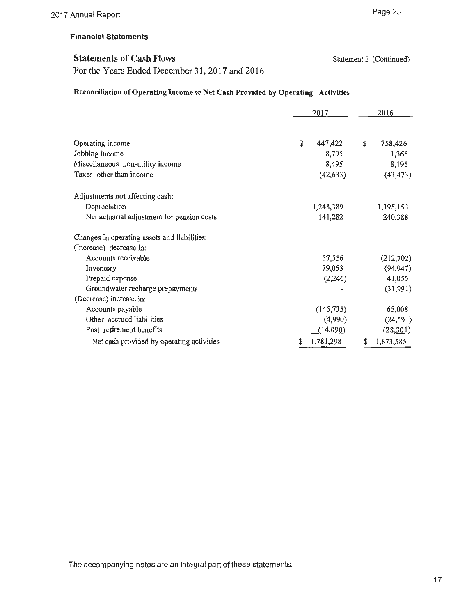## **Statements of Cash Flows** Statement 3 (Continued)

For the Years Ended December 31, 2017 and 2016

## **Reconciliation of Operating Income to Net Cash Provided by Operating Activities**

|                                              | 2017 |            | 2016 |           |
|----------------------------------------------|------|------------|------|-----------|
|                                              |      |            |      |           |
| Operating income                             | \$   | 447,422    | \$   | 758,426   |
| Jobbing income                               |      | 8,795      |      | 1,365     |
| Miscellaneous non-utility income             |      | 8,495      |      | 8,195     |
| Taxes other than income                      |      | (42, 633)  |      | (43, 473) |
| Adjustments not affecting cash:              |      |            |      |           |
| Depreciation                                 |      | 1,248,389  |      | 1,195,153 |
| Net actuarial adjustment for pension costs   |      | 141,282    |      | 240,388   |
| Changes in operating assets and liabilities: |      |            |      |           |
| (Increase) decrease in:                      |      |            |      |           |
| Accounts receivable                          |      | 57,556     |      | (212,702) |
| Inventory                                    |      | 79,053     |      | (94, 947) |
| Prepaid expense                              |      | (2, 246)   |      | 41,055    |
| Groundwater recharge prepayments             |      |            |      | (31,991)  |
| (Decrease) increase in:                      |      |            |      |           |
| Accounts payable                             |      | (145, 735) |      | 65,008    |
| Other accrued liabilities                    |      | (4,990)    |      | (24, 591) |
| Post retirement benefits                     |      | (14,090)   |      | (28, 301) |
| Net cash provided by operating activities    | S    | 1,781,298  | \$   | 1,873,585 |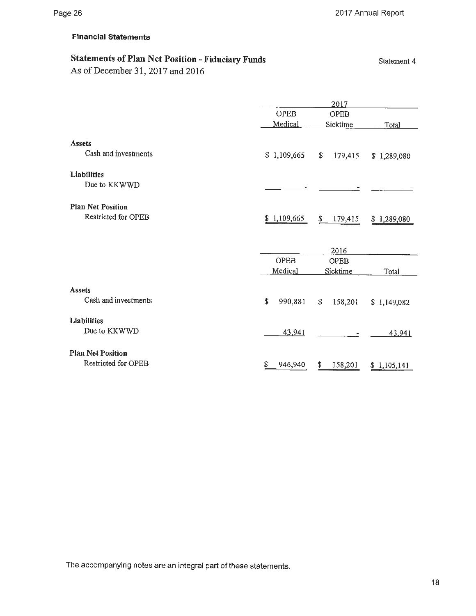Statement 4

#### **Financial Statements**

## **Statements of Plan Net Position -Fiduciary Funds**

As of December 31, 2017 and 2016

|                          |               | 2017          |             |  |  |  |
|--------------------------|---------------|---------------|-------------|--|--|--|
|                          | <b>OPEB</b>   | OPEB          |             |  |  |  |
|                          | Medical       | Sicktime      | Total       |  |  |  |
| <b>Assets</b>            |               |               |             |  |  |  |
| Cash and investments     | \$1,109,665   | \$<br>179,415 | \$1,289,080 |  |  |  |
| Liabilities              |               |               |             |  |  |  |
| Due to KKWWD             |               |               |             |  |  |  |
| <b>Plan Net Position</b> |               |               |             |  |  |  |
| Restricted for OPEB      | \$1,109,665   | \$179,415     | \$1,289,080 |  |  |  |
|                          |               | 2016          |             |  |  |  |
|                          | <b>OPEB</b>   | <b>OPEB</b>   |             |  |  |  |
|                          | Medical       | Sicktime      | Total       |  |  |  |
| <b>Assets</b>            |               |               |             |  |  |  |
| Cash and investments     | \$<br>990,881 | \$<br>158,201 | \$1,149,082 |  |  |  |
| <b>Liabilities</b>       |               |               |             |  |  |  |
| Due to KKWWD             | 43,941        |               | 43,941      |  |  |  |
| <b>Plan Net Position</b> |               |               |             |  |  |  |
| Restricted for OPEB      | \$<br>946,940 | \$<br>158,201 | \$1,105,141 |  |  |  |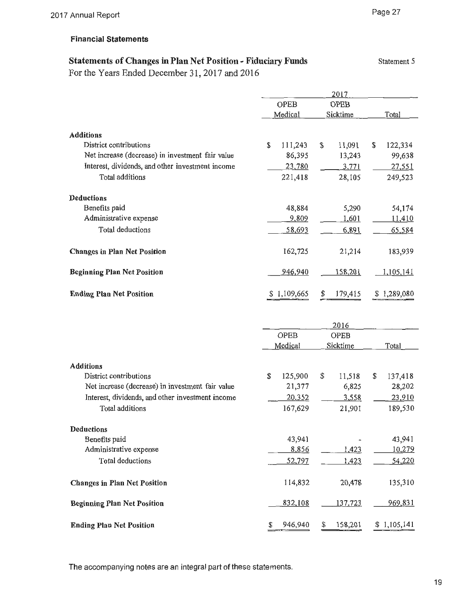## **Statements of Changes in Plan Net Position - Fiduciary Funds Statement 5**

For the Years Ended December 31, 2017 and 2016

|                                                  | 2017        |             |               |             |             |               |
|--------------------------------------------------|-------------|-------------|---------------|-------------|-------------|---------------|
|                                                  |             | <b>OPEB</b> |               | <b>OPEB</b> |             |               |
|                                                  |             | Medical     |               | Sicktime    |             | Total         |
| <b>Additions</b>                                 |             |             |               |             |             |               |
| District contributions                           | \$          | 111,243     | \$            | 11,091      | \$          | 122,334       |
| Net increase (decrease) in investment fair value |             | 86,395      |               | 13,243      |             | 99,638        |
| Interest, dividends, and other investment income |             | 23,780      |               | 3,771       |             | 27,551        |
| Total additions                                  |             | 221,418     |               | 28,105      |             | 249,523       |
| <b>Deductions</b>                                |             |             |               |             |             |               |
| Benefits paid                                    |             | 48,884      |               | 5,290       |             | 54,174        |
| Administrative expense                           |             | 9,809       |               | 1,601       |             | <u>11,410</u> |
| Total deductions                                 |             | 58,693      |               | 6,891       |             | 65,584        |
| <b>Changes in Plan Net Position</b>              |             | 162,725     |               | 21,214      |             | 183,939       |
| <b>Beginning Plan Net Position</b>               |             | 946,940     |               | 158,201     |             | 1,105,141     |
| <b>Ending Plan Net Position</b>                  | \$1,109,665 |             | \$<br>179,415 |             | \$1,289,080 |               |
|                                                  |             |             |               | 2016        |             |               |
|                                                  |             | <b>OPEB</b> |               | OPEB        |             |               |
|                                                  |             | Medical     |               | Sicktime    |             | Total         |
| <b>Additions</b>                                 |             |             |               |             |             |               |
| District contributions                           | \$          | 125,900     | \$            | 11,518      | \$          | 137,418       |
| Net increase (decrease) in investment fair value |             | 21,377      |               | 6,825       |             | 28,202        |
| Interest, dividends, and other investment income |             | 20,352      |               | 3,558       |             | 23,910        |
| Total additions                                  |             | 167,629     |               | 21,901      |             | 189,530       |
| <b>Deductions</b>                                |             |             |               |             |             |               |
| Benefits paid                                    |             | 43,941      |               |             |             | 43,941        |
| Administrative expense                           |             | 8,856       |               | 1,423       |             | 10,279        |
| Total deductions                                 |             | 52,797      |               | 1,423       |             | 54,220        |
| <b>Changes in Plan Net Position</b>              |             | 114,832     |               | 20,478      |             | 135,310       |
| <b>Beginning Plan Net Position</b>               |             | 832,108     |               | 137,723     |             | 969,831       |
|                                                  |             |             |               |             |             |               |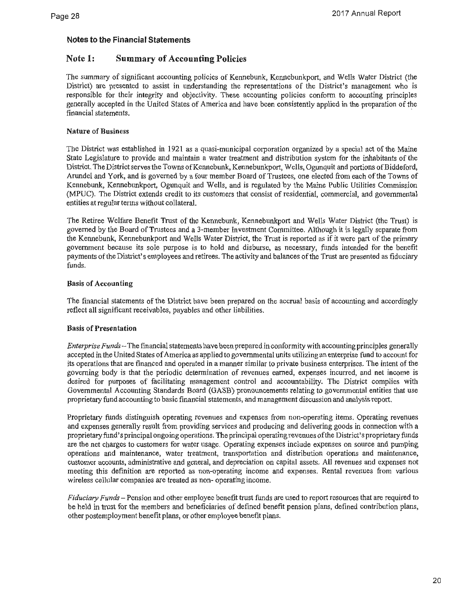#### **Note 1: Summary of Accounting Policies**

The summary of significant accounting policies of Kennebunk, Kennebunkport, and Wells Water District (the District) are presented to assist in understanding the representations of the District's management who is responsible for their integrity and objectivity. These accounting policies conform to accounting principles generally accepted in the United States of America and have been consistently applied in the preparation of the financial statements.

#### **Nature of Business**

The District was established in 1921 as a quasi-municipal corporation organized by a special act of the Maine State Legislature to provide and maintain a water treatment and distribution system for the inhabitants of the District. The District serves the Towns of Kennebunk, Kennebunkport, Wells, Ogunquit and portions of Biddeford, Arundel and York, and is governed by a four member Board of Trustees, one elected from each of the Towns of Kennebunk, Kennebunkport, Ogunquit and Wells, and is regulated by the Maine Public Utilities Commission (MPUC). The District extends credit to its customers that consist of residential, commercial, and governmental entities at regular terms without collateral.

The Retiree Welfare Benefit Trust of the Kennebunk, Kennebunkport and Wells Water District (the Trust) is governed by the Board of Trustees and a 3-member Investment Committee. Although it is legally separate from the Kennebunk, Kennebunkport and Wells Water District, the Trust is reported as if it were part of the primary government because its sole purpose is to hold and disburse, as necessary, funds intended for the benefit payments of the District's employees and retirees. The activity and balances of the Trust are presented as fiduciary funds.

#### **Basis of Accounting**

The financial statements of the District have been prepared on the accrual basis of accounting and accordingly reflect all significant receivables, payables and other liabilities.

#### **Basis of Presentation**

*Enterprise Funds-*The financial statements have been prepared in conformity with accounting principles generally accepted in the United States of America as applied to governmental units utilizing an enterprise fund to account for its operations that are financed and operated in a manner similar to private business enterprises. The intent of the governing body is that the periodic detennination of revenues earned, expenses incurred, and net income is desired for purposes of facilitating management control and accountability. The District complies with Governmental Accounting Standards Board (GASB) pronouncements relating to governmental entities that use proprietary fund accounting to basic financial statements, and management discussion and analysis report.

Proprietary funds distinguish operating revenues and expenses from non-operating items. Operating revenues and expenses generally result from providing services and producing and delivering goods in connection with a proprietary fund's principal ongoing operations. The principal operating revenues of the District's proprietary funds are the net charges to customers for water usage. Operating expenses include expenses on source and pumping operations and maintenance, water treatment, transportation and distribution operations and maintenance, customer accounts, administrative and general, and depreciation on capital assets. All revenues and expenses not meeting this definition are reported as non-operating income and expenses. Rental revenues from various wireless cellular companies are treated as non- operating income.

*Fiduciary Funds-* Pension and other employee benefit trust funds are used to report resources that are required to be held in trust for the members and beneficiaries of defined benefit pension plans, defined contribution plans, other postemployment benefit plans, or other employee benefit plans.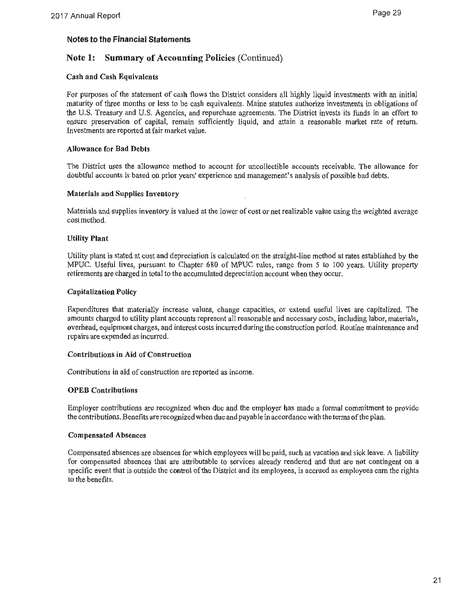#### **Note 1: Summary of Accounting Policies** (Continued)

#### **Cash and Cash Equivalents**

For purposes of the statement of cash flows the District considers all highly liquid investments with an initial maturity of three months or Jess to be cash equivalents. Maine statutes authorize investments in obligations of the U.S. Treasury and U.S. Agencies, and repurchase agreements. The District invests its funds in an effort to ensure preservation of capital, remain sufficiently liquid, and attain a reasonable market rate of return. Investments are reported at fair market value.

#### **Allowance for Bad Debts**

The District uses the allowance method to account for uncollectible accounts receivable. The allowance for doubtful accounts is based on prior years' experience and management's analysis of possible bad debts.

#### **Materials and Supplies Inventory**

Materials and supplies inventory is valued at the lower of cost or net realizable value using the weighted average cost method.

#### **Utility Plant**

Utility plant is stated at cost and depreciation is calculated on the straight-line method at rates established by the MPUC. Useful lives, pursuant to Chapter 680 of MPUC rules, range from 5 to 100 years. Utility property retirements are charged in total to the accumulated depreciation account when they occur.

#### **Capitalization Policy**

Expenditures that materially increase values, change capacities, or extend useful lives are capitalized. The amounts charged to utility plant accounts represent all reasonable and necessary costs, including labor, materials, overhead, equipment charges, and interest costs incurred during the construction period. Routine maintenance and repairs are expended as incurred.

#### **Contributions in Aid of Construction**

Contributions in aid of construction are reported as income.

#### **OPEB Contributions**

Employer contributions are recognized when due and the employer has made a formal commitment to provide the contributions. Benefits are recognized when due and payable in accordance with the terms of the plan.

#### **Compensated Absences**

Compensated absences are absences for which employees will be paid, such as vacation and sick leave. A liability for compensated absences that are attributable to services already rendered and that are not contingent on a specific event that is outside the control of the District and its employees, is accrued as employees earn the rights to the benefits.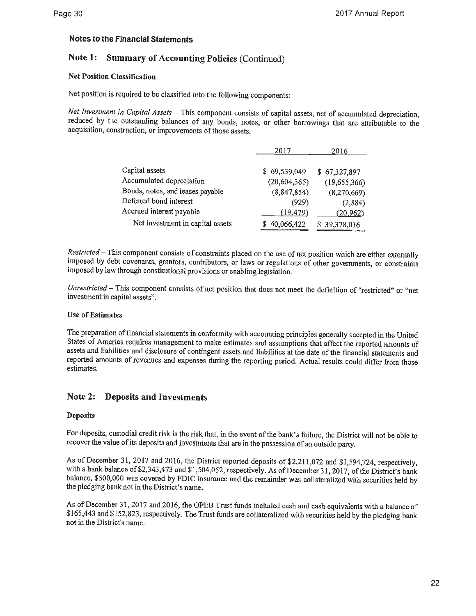### **Note 1: Summary of Accounting Policies** (Continued)

#### **Net Position Classification**

Net position is required to be classified into the following components:

*Net Investment in Capital Assets -* This component consists of capital assets, net of accumulated depreciation, reduced by the outstanding balances of any bonds, notes, or other borrowings that are attributable to the acquisition, construction, or improvements of those assets.

|                                  | 2017           | 2016         |
|----------------------------------|----------------|--------------|
|                                  |                |              |
| Capital assets                   | \$69,539,049   | \$67,327,897 |
| Accumulated depreciation         | (20, 604, 365) | (19,655,366) |
| Bonds, notes, and leases payable | (8, 847, 854)  | (8,270,669)  |
| Deferred bond interest           | (929)          | (2,884)      |
| Accrued interest payable         | (19, 479)      | (20, 962)    |
| Net investment in capital assets | 40,066,422     | \$39,378,016 |

*Restricted* - This component consists of constraints placed on the use of net position which are either externally imposed by debt covenants, grantors, contributors, or laws or regulations of other governments, or constraints imposed by law through constitutional provisions or enabling legislation.

*Unrestricted* - This component consists of net position that does not meet the definition of "restricted" or "net investment in capital assets".

#### **Use of Estimates**

The preparation of financial statements in conformity with accounting principles generally accepted in the United States of America requires management to make estimates and assumptions that affect the reported amounts of assets and liabilities and disclosure of contingent assets and liabilities at the date of the financial statements and reported amounts of revenues and expenses during the reporting period. Actual results could differ from those estimates.

#### **Note 2: Deposits and Investments**

#### **Deposits**

For deposits, custodial credit risk is the risk that, in the event of the bank's failure, the District will not be able to recover the value of its deposits and investments that are in the possession of an outside party.

As of December 31, 2017 and 2016, the District reported deposits of \$2,211,072 and \$1,594,724, respectively, with a bank balance of \$2,343,473 and \$1,504,052, respectively. As of December 31, 2017, of the District's bank balance, \$500,000 was covered by FDIC insurance and the remainder was collateralized with securities held by the pledging bank not in the District's name.

As of December 31, 2017 and 2016, the OPEB Trust funds included cash and cash equivalents with a balance of \$165,443 and \$152,823, respectively. The Trust funds are collateralized with securities held by the pledging bank not in the District's name.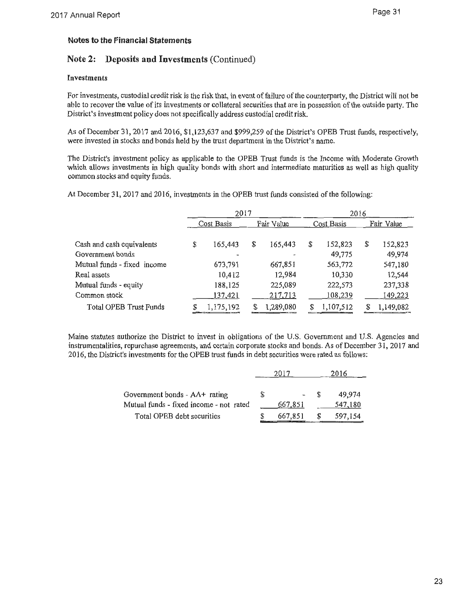#### **Note 2: Deposits and Investments** (Continued)

#### **Investments**

For investments, custodial credit risk is the risk that, in event of failure of the counterparty, the District will not be able to recover the value of its investments or collateral securities that are in possession of the outside party. The District's investment policy does not specifically address custodial credit risk.

As of December 31, 2017 and 2016, \$1,123,637 and \$999,259 of the District's OPEB Trust funds, respectively, were invested in stocks and bonds held by the trust department in the District's name.

The District's investment policy as applicable to the OPEB Trust funds is the Income with Moderate Growth which allows investments in high quality bonds with short and intermediate maturities as well as high quality common stocks and equity funds.

At December 31, 2017 and 2016, investments in the OPEB trust funds consisted of the following:

|                               | 2017       |           |            | 2016      |            |           |            |           |
|-------------------------------|------------|-----------|------------|-----------|------------|-----------|------------|-----------|
|                               | Cost Basis |           | Fair Value |           | Cost Basis |           | Fair Value |           |
|                               |            |           |            |           |            |           |            |           |
| Cash and cash equivalents     | \$         | 165,443   | \$         | 165,443   | \$         | 152,823   | \$         | 152,823   |
| Government bonds              |            | -         |            |           |            | 49,775    |            | 49,974    |
| Mutual funds - fixed income   |            | 673,791   |            | 667,851   |            | 563,772   |            | 547,180   |
| Real assets                   |            | 10,412    |            | 12,984    |            | 10,330    |            | 12,544    |
| Mutual funds - equity         |            | 188,125   |            | 225,089   |            | 222,573   |            | 237,338   |
| Common stock                  |            | 137,421   |            | 217,713   |            | 108,239   |            | 149,223   |
| <b>Total OPEB Trust Funds</b> |            | 1,175,192 | S.         | 1,289,080 | S          | 1,107,512 |            | 1,149,082 |

Maine statutes authorize the District to invest in obligations of the U.S. Government and U.S. Agencies and instrumentalities, repurchase agreements, and certain corporate stocks and bonds. As of December 31, 2017 and 2016, the District's investments for the OPEB trust funds in debt securities were rated as follows:

|                                         |      | 2017    |     | 2016    |
|-----------------------------------------|------|---------|-----|---------|
|                                         |      |         |     |         |
| Government bonds - AA+ rating           | - \$ |         | -SS | 49.974  |
| Mutual funds - fixed income - not rated |      | 667,851 |     | 547,180 |
| Total OPEB debt securities              |      | 667,851 |     | 597,154 |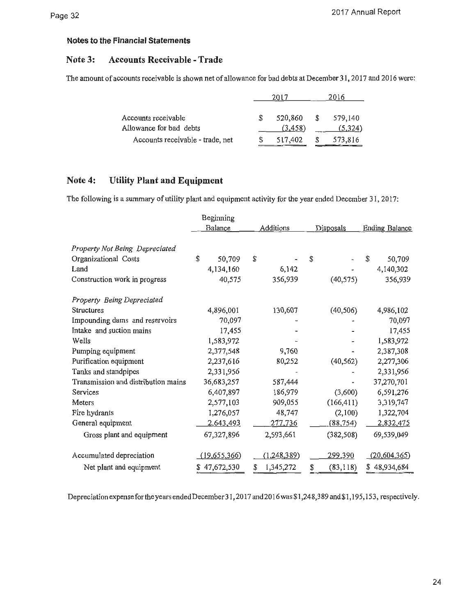#### **Note 3: Accounts Receivable -Trade**

The amount of accounts receivable is shown net of allowance for bad debts at December 31, 2017 and 2016 were:

| Accounts receivable<br>Allowance for bad debts | 520,860<br>(3, 458) | S | 579,140<br>(5,324) |
|------------------------------------------------|---------------------|---|--------------------|
| Accounts receivable - trade, net               | 517,402             |   | 573,816            |

#### **Note 4: Utility Plant and Equipment**

The following is a summary of utility plant and equipment activity for the year ended December 31, 2017:

|                                     |                             | Beginning    |                 |    |                       |     |                |
|-------------------------------------|-----------------------------|--------------|-----------------|----|-----------------------|-----|----------------|
|                                     | Balance<br><b>Additions</b> |              | Disposals       |    | <b>Ending Balance</b> |     |                |
| Property Not Being Depreciated      |                             |              |                 |    |                       |     |                |
| Organizational Costs                | \$                          | 50,709       | \$              | \$ |                       | \$  | 50,709         |
| Land                                |                             | 4,134,160    | 6,142           |    |                       |     | 4,140,302      |
| Construction work in progress       |                             | 40,575       | 356,939         |    | (40, 575)             |     | 356,939        |
| Property Being Depreciated          |                             |              |                 |    |                       |     |                |
| <b>Structures</b>                   |                             | 4,896,001    | 130,607         |    | (40, 506)             |     | 4,986,102      |
| Impounding dams and reservoirs      |                             | 70,097       |                 |    |                       |     | 70,097         |
| Intake and suction mains            |                             | 17,455       |                 |    |                       |     | 17,455         |
| Wells                               |                             | 1,583,972    |                 |    |                       |     | 1,583,972      |
| Pumping equipment                   |                             | 2,377,548    | 9,760           |    |                       |     | 2,387,308      |
| Purification equipment              |                             | 2,237,616    | 80,252          |    | (40, 562)             |     | 2,277,306      |
| Tanks and standpipes                |                             | 2,331,956    |                 |    |                       |     | 2,331,956      |
| Transmission and distribution mains |                             | 36,683,257   | 587,444         |    |                       |     | 37,270,701     |
| Services                            |                             | 6,407,897    | 186,979         |    | (3,600)               |     | 6,591,276      |
| Meters                              |                             | 2,577,103    | 909,055         |    | (166, 411)            |     | 3,319,747      |
| Fire hydrants                       |                             | 1,276,057    | 48,747          |    | (2,100)               |     | 1,322,704      |
| General equipment                   |                             | 2,643,493    | 277,736         |    | (88, 754)             |     | 2,832,475      |
| Gross plant and equipment           |                             | 67,327,896   | 2,593,661       |    | (382, 508)            |     | 69,539,049     |
| Accumulated depreciation            |                             | (19,655,366) | (1,248,389)     |    | 299,390               |     | (20, 604, 365) |
| Net plant and equipment             |                             | \$47,672,530 | \$<br>1,345,272 | \$ | (83, 118)             | \$. | 48,934,684     |

Depreciation expense for the years ended December 31, 2017 and 2016 was \$1,248,389 and \$1,195,153, respectively.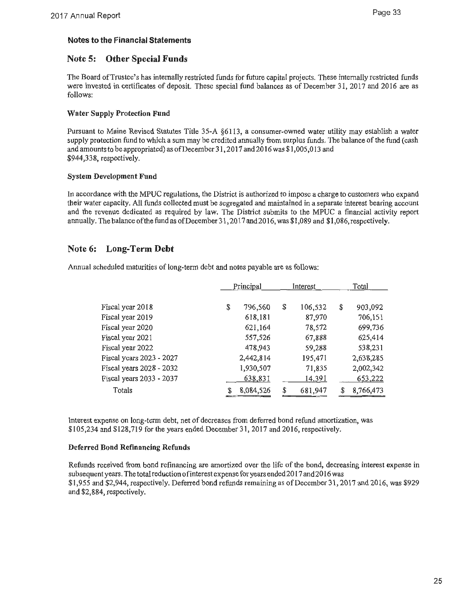#### **Note 5: Other Special Funds**

The Board ofTrustee's has internally restricted funds for future capital projects. These internally restricted funds were invested in certificates of deposit. These special fund balances as of December 31, 2017 and 2016 are as follows:

#### **Water Supply Protection Fund**

Pursuant to Maine Revised Statutes Title 35-A §6113, a consumer-owned water utility may establish a water supply protection fund to which a sum may be credited annually from surplus funds. The balance of the fund (cash and amounts to be appropriated) as ofDecember 31, 2017 and 2016 was \$1,005,013 and \$944,338, respectively.

#### **System Development Fund**

In accordance with the MPUC regulations, the District is authorized to impose a charge to customers who expand their water capacity. All funds collected must be segregated and maintained in a separate interest bearing account and the revenue dedicated as required by law. The District submits to the MPUC a financial activity report annually. The balance of the fund as of December 31, 2017 and 2016, was \$1,089 and \$1,086, respectively.

#### **Note 6: Long-Term Debt**

Annual scheduled maturities of long-term debt and notes payable are as follows:

|                          | Principal       |    | Interest | Total         |
|--------------------------|-----------------|----|----------|---------------|
|                          |                 |    |          |               |
| Fiscal year 2018         | \$<br>796,560   | \$ | 106,532  | \$<br>903,092 |
| Fiscal year 2019         | 618,181         |    | 87,970   | 706,151       |
| Fiscal year 2020         | 621,164         |    | 78,572   | 699,736       |
| Fiscal year 2021         | 557,526         |    | 67,888   | 625,414       |
| Fiscal year 2022         | 478,943         |    | 59,288   | 538,231       |
| Fiscal years 2023 - 2027 | 2,442,814       |    | 195,471  | 2,638,285     |
| Fiscal years 2028 - 2032 | 1,930,507       |    | 71,835   | 2,002,342     |
| Fiscal years 2033 - 2037 | 638,831         |    | 14,391   | 653,222       |
| Totals                   | \$<br>8,084,526 | \$ | 681,947  | 8,766,473     |

Interest expense on long-term debt, net of decreases from deferred bond refund amortization, was \$105,234 and \$128,719 for the years ended December 31, 2017 and 2016, respectively.

#### **Deferred Bond Refinancing Refunds**

Refunds received from bond refinancing are amortized over the life of the bond, decreasing interest expense in subsequent years. The total reduction ofinterest expense for years ended 2017 and 2016 was \$1,955 and \$2,944, respectively. Deferred bond refunds remaining as of December 31, 2017 and 2016, was \$929 and \$2,884, respectively.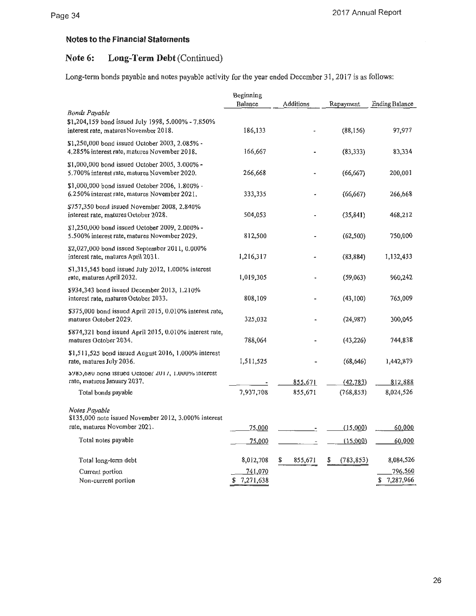## Note 6: Long-Term Debt (Continued)

Long-term bonds payable and notes payable activity for the year ended December 31, 2017 is as follows:

|                                                                                                              | Beginning     |               |                  |                       |
|--------------------------------------------------------------------------------------------------------------|---------------|---------------|------------------|-----------------------|
|                                                                                                              | Balance       | Additions     | Repayment        | <b>Ending Balance</b> |
| Bonds Payable<br>\$1,204,159 bond issued July 1998, 5.000% - 7.850%<br>interest rate, matures November 2018. | 186,133       |               | (88, 156)        | 97,977                |
| \$1,250,000 bond issued October 2003, 2.085% -<br>4.285% interest rate, matures November 2018.               | 166,667       |               | (83, 333)        | 83,334                |
| \$1,000,000 bond issued October 2005, 3.000% -<br>5.700% interest rate, matures November 2020.               | 266,668       |               | (66, 667)        | 200,001               |
| \$1,000,000 bond issued October 2006, 1.800% -<br>6.250% interest rate, matures November 2021.               | 333,335       |               | (66, 667)        | 266,668               |
| \$757,350 bond issued November 2008, 2.840%<br>interest rate, matures October 2028.                          | 504,053       |               | (35, 841)        | 468,212               |
| \$1,250,000 bond issued October 2009, 2.000% -<br>5.500% interest rate, matures November 2029.               | 812,500       |               | (62, 500)        | 750,000               |
| \$2,027,000 bond issued September 2011, 0.000%<br>interest rate, matures April 2031.                         | 1,216,317     |               | (83, 884)        | 1,132,433             |
| \$1,315,545 bond issued July 2012, 1.000% interest<br>rate, matures April 2032.                              | 1,019,305     |               | (59,063)         | 960,242               |
| \$934,343 bond issued December 2013, 1.210%<br>interest rate, matures October 2033.                          | 808,109       |               | (43, 100)        | 765,009               |
| \$375,000 bond issued April 2015, 0.010% interest rate,<br>matures October 2029.                             | 325,032       |               | (24,987)         | 300,045               |
| \$874,321 bond issued April 2015, 0.010% interest rate,<br>matures October 2034.                             | 788,064       |               | (43, 226)        | 744,838               |
| \$1,511,525 bond issued August 2016, 1.000% interest<br>rate, matures July 2036.                             | 1,511,525     |               | (68, 646)        | 1,442,879             |
| 3985,680 bond issued October 2017, 1.000% interest<br>rate, matures January 2037.                            |               | 855,671       | (42, 783)        | 812,888               |
| Total bonds payable                                                                                          | 7,937,708     | 855,671       | (768, 853)       | 8,024,526             |
| Notes Payable<br>\$135,000 note issued November 2012, 3.000% interest                                        |               |               |                  |                       |
| rate, matures November 2021.                                                                                 | 75,000        |               | (15,000)         | 60,000                |
| Total notes payable                                                                                          | <u>75,000</u> |               | (15,000)         | 60,000                |
| Total long-term debt                                                                                         | 8,012,708     | \$<br>855,671 | (783, 853)<br>\$ | 8,084,526             |
| Current portion                                                                                              | 741,070       |               |                  | 796,560               |
| Non-current portion                                                                                          | \$7,271,638   |               |                  | \$7,287,966           |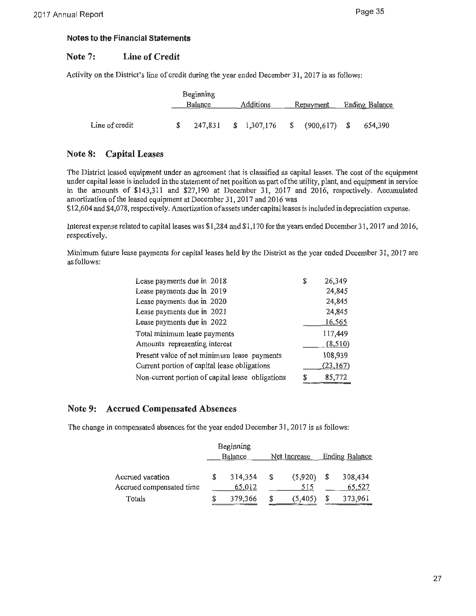#### **Note 7: Line of Credit**

Activity on the District's line of credit during the year ended December 31, 2017 is as follows:

|                | Beginning |             |                  |                       |
|----------------|-----------|-------------|------------------|-----------------------|
|                | Balance   | Additions   | Repayment        | <b>Ending Balance</b> |
|                |           |             |                  |                       |
| Line of credit | 247.831   | \$1,307,176 | $$ (900,617)$ \$ | 654,390               |

#### **Note 8: Capital Leases**

The District leased equipment under an agreement that is classified as capital leases. The cost of the equipment under capital lease is included in the statement of net position as part of the utility, plant, and equipment in service in the amounts of \$143,311 and \$27,190 at December 31, 2017 and 2016, respectively. Accumulated amortization of the leased equipment at December 31, 2017 and 2016 was

\$12,604 and \$4,078, respectively. Amortization of assets under capital leases is included in depreciation expense.

Interest expense related to capital leases was \$1,284 and \$1,170 for the years ended December 31, 2017 and 2016, respectively.

Minimum future lease payments for capital leases held by the District as the year ended December 31, 2017 are as follows:

| Lease payments due in 2018                       | \$ | 26,349    |
|--------------------------------------------------|----|-----------|
| Lease payments due in 2019                       |    | 24,845    |
| Lease payments due in 2020                       |    | 24,845    |
| Lease payments due in 2021                       |    | 24,845    |
| Lease payments due in 2022                       |    | 16,565    |
| Total minimum lease payments                     |    | 117,449   |
| Amounts representing interest                    |    | (8, 510)  |
| Present value of net minimum lease payments      |    | 108,939   |
| Current portion of capital lease obligations     |    | (23, 167) |
| Non-current portion of capital lease obligations | S. | 85,772    |

#### **Note 9: Accrued Compensated Absences**

The change in compensated absences for the year ended December 31, 2017 is as follows:

|                                              |    | Beginning<br>Balance | Net Increase         | Ending Balance          |
|----------------------------------------------|----|----------------------|----------------------|-------------------------|
| Accrued vacation<br>Accrued compensated time |    | 314,354<br>65,012    | \$<br>(5,920)<br>515 | \$<br>308,434<br>65,527 |
| Totals                                       | X, | 379,366              | \$<br>(5, 405)       | \$<br>373,961           |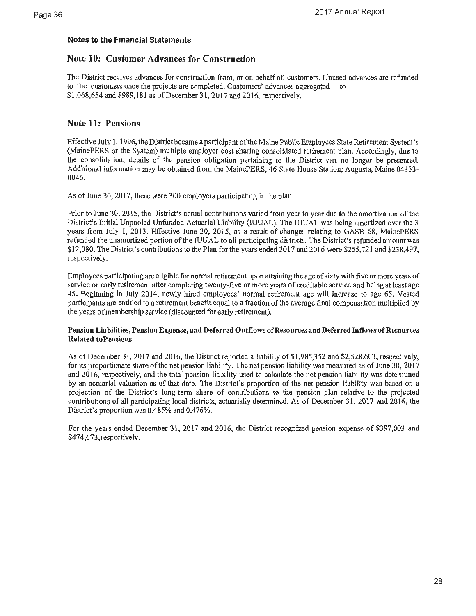#### **Note 10: Customer Advances for Construction**

The District receives advances for construction from, or on behalf of, customers. Unused advances are refunded to the customers once the projects are completed. Customers' advances aggregated to \$1,068,654 and \$989,181 as of December 31, 2017 and 2016, respectively.

#### **Note 11: Pensions**

Effective July 1, 1996, the District became a participant of the Maine Public Employees State Retirement System's (MainePERS or the System) multiple employer cost sharing consolidated retirement plan. Accordingly, due to the consolidation, details of the pension obligation pertaining to the District can no longer be presented. Additional information may be obtained from the MainePERS, 46 State House Station; Augusta, Maine 04333- 0046.

As of June 30, 2017, there were 300 employers participating in the plan.

Prior to June 30, 2015, the District's actual contributions varied from year to year due to the amortization of the District's Initial Unpooled Unfunded Actuarial Liability (IUUAL). The IUUAL was being amortized over the 3 years from July 1, 2013. Effective June 30, 2015, as a result of changes relating to GASB 68, MainePERS refunded the unamortized portion of the IUUAL to all participating districts. The District's refunded amount was \$12,080. The District's contributions to the Plan for the years ended 2017 and 2016 were \$255,721 and \$238,497, respectively.

Employees participating are eligible for normal retirement upon attaining the age of sixty with five or more years of service or early retirement after completing twenty-five or more years of creditable service and being at least age 45. Beginning in July 2014, newly hired employees' normal retirement age will increase to age 65. Vested participants are entitled to a retirement benefit equal to a fraction of the average final compensation multiplied by the years of membership service (discounted for early retirement).

#### **Pension Liabilities, Pension Expense, and Deferred Outflows of Resources and Deferred Inflows of Resources Related toPensions**

As of December 31, 2017 and 2016, the District reported a liability of \$1,985,352 and \$2,528,603, respectively, for its proportionate share of the net pension liability. The net pension liability was measured as of June 30, 2017 and 2016, respectively, and the total pension liability used to calculate the net pension liability was determined by an actuarial valuation as of that date. The District's proportion of the net pension liability was based on a projection of the District's long-term share of contributions to the pension plan relative to the projected contributions of all participating local districts, actuarially determined. As of December 31, 2017 and 2016, the District's proportion was 0.485% and 0.476%.

For the years ended December 31, 2017 and 2016, the District recognized pension expense of \$397,003 and \$474,673,respectively.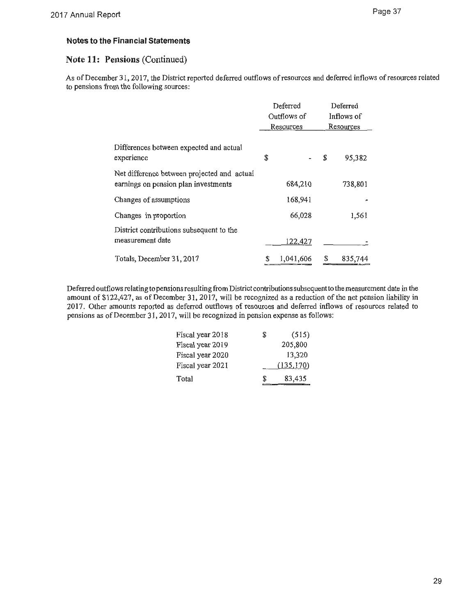#### **Note 11: Pensions** (Continued)

As of December 31, 2017, the District reported deferred outflows of resources and deferred inflows of resources related to pensions from the following sources:

|                                                                                     | Deferred        | Deferred     |  |
|-------------------------------------------------------------------------------------|-----------------|--------------|--|
|                                                                                     | Outflows of     | Inflows of   |  |
|                                                                                     | Resources       | Resources    |  |
| Differences between expected and actual<br>experience                               | \$              | 95,382<br>\$ |  |
| Net difference between projected and actual<br>earnings on pension plan investments | 684,210         | 738,801      |  |
| Changes of assumptions                                                              | 168,941         |              |  |
| Changes in proportion                                                               | 66,028          | 1,561        |  |
| District contributions subsequent to the<br>measurement date                        | 122,427         |              |  |
| Totals, December 31, 2017                                                           | 1,041,606<br>\$ | 835,744<br>S |  |

Deferred outflows relating to pensions resulting from District contributions subsequent to the measurement date in the amount of \$122,427, as of December 31, 2017, will be recognized as a reduction of the net pension liability in 2017. Other amounts reported as deferred outflows of resources and deferred inflows of resources related to pensions as of December 31, 2017, will be recognized in pension expense as follows:

| Fiscal year 2018 | S | (515)      |
|------------------|---|------------|
| Fiscal year 2019 |   | 205,800    |
| Fiscal year 2020 |   | 13,320     |
| Fiscal year 2021 |   | (135, 170) |
| Total            | S | 83,435     |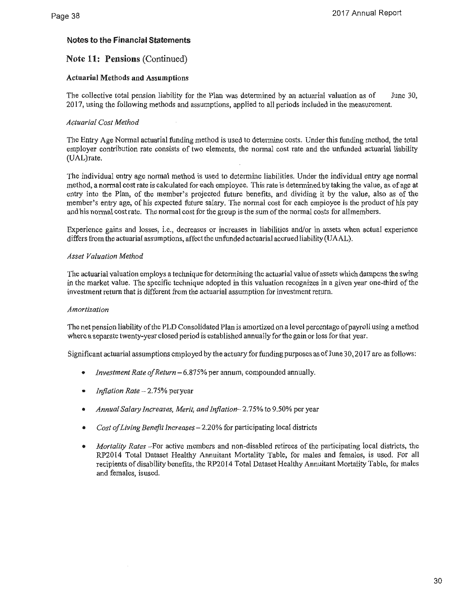#### **Note 11: Pensions** (Continued)

#### **Actuarial Methods and Assumptions**

The collective total pension liability for the Plan was determined by an actuarial valuation as of June 30, 2017, using the following methods and assumptions, applied to all periods included in the measurement.

#### *Actuarial Cost Method*

The Entry Age Normal actuarial funding method is used to determine costs. Under this funding method, the total employer contribution rate consists of two elements, the normal cost rate and the unfunded actuarial liability (UAL)rate.

The individual entry age normal method is used to determine liabilities. Under the individual entry age normal method, a normal cost rate is calculated for each employee. This rate is determined by taking the value, as of age at entry into the Plan, of the member's projected future benefits, and dividing it by the value, also as of the member's entry age, of his expected future salary. The normal cost for each employee is the product of his pay and his normal cost rate. The normal cost for the group is the sum of the normal costs for all members.

Experience gains and losses, i.e., decreases or increases in liabilities and/or in assets when actual experience differs from the actuarial assumptions, affectthe unfunded actuarial accrued liability (UAAL).

#### *Asset Valuation Method*

The actuarial valuation employs a technique for determining the actuarial value of assets which dampens the swing in the market value. The specific technique adopted in this valuation recognizes in a given year one-third of the investment return that is different from the actuarial assumption for investment return.

#### *Amortization*

The net pension liability of the PLD Consolidated Plan is amortized on a level percentage of payroll using a method where a separate twenty-year closed period is established annually for the gain or loss for that year.

Significant actuarial assumptions employed by the actuary for funding purposes as of June 30, 2017 are as follows:

- *Investment Rate of Return*  6.875% per annum, compounded annually.
- *Inflation Rate*  2.75% peryear
- *Annual Salary Increases, Merit, and Inflation-* 2.75% to 9.50% per year
- *Cost of Living Benefit Increases-2.20%* for participating local districts
- *Mortality Rates* -For active members and non-disabled retirees of the participating local districts, the RP2014 Total Dataset Healthy Annuitant Mortality Table, for males and females, is used. For all recipients of disability benefits, the RP2014 Total Dataset Healthy Annuitant Mortality Table, for males and females, isused.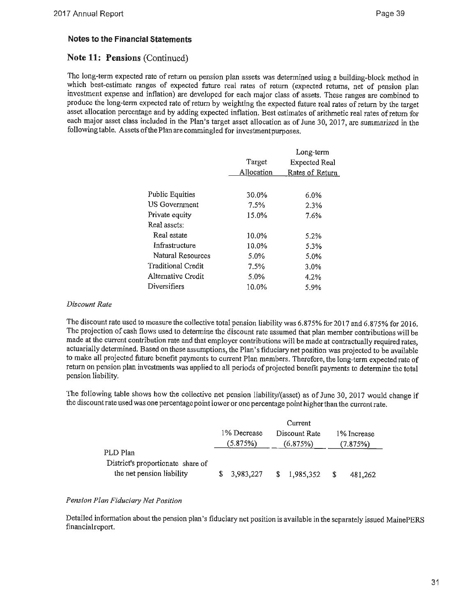#### **Note 11: Pensions** (Continued)

The long-term expected rate of return on pension plan assets was determined using a building-block method in which best-estimate ranges of expected future real rates of return (expected returns, net of pension plan investment expense and inflation) are developed for each major class of assets. These ranges are combined to produce the long-term expected rate of return by weighting the expected future real rates of return by the target asset allocation percentage and by adding expected inflation. Best estimates of arithmetic real rates of return for each major asset class included in the Plan's target asset allocation as of June 30, 2017, are summarized in the following table. Assets of the Plan are commingled for investment purposes.

|                           |            | Long-term            |
|---------------------------|------------|----------------------|
|                           | Target     | <b>Expected Real</b> |
|                           | Allocation | Rates of Return      |
|                           |            |                      |
| Public Equities           | 30.0%      | $6.0\%$              |
| US Government             | $7.5\%$    | 2.3%                 |
| Private equity            | 15.0%      | 7.6%                 |
| Real assets:              |            |                      |
| Real estate               | 10.0%      | 5.2%                 |
| Infrastructure            | 10.0%      | 5.3%                 |
| <b>Natural Resources</b>  | 5.0%       | 5.0%                 |
| <b>Traditional Credit</b> | 7.5%       | 3.0%                 |
| Alternative Credit        | 5.0%       | 4.2%                 |
| Diversifiers              | 10.0%      | 5.9%                 |
|                           |            |                      |

#### *Discount Rate*

The discount rate used to measure the collective total pension liability was 6.875% for2017 and 6.875% for 2016. The projection of cash flows used to determine the discount rate assumed that plan member contributions will be made at the current contribution rate and that employer contributions will be made at contractually required rates, actuarially determined. Based on these assumptions, the Plan's fiduciary net position was projected to be available to make all projected future benefit payments to current Plan members. Therefore, the long-term expected rate of return on pension plan investments was applied to all periods of projected benefit payments to determine the total pension liability.

The following table shows how the collective net pension liability/(asset) as of June 30, 2017 would change if the discount rate used was one percentage point lower or one percentage point higher than the current rate.

|                                               | Current |                         |  |                           |  |                         |
|-----------------------------------------------|---------|-------------------------|--|---------------------------|--|-------------------------|
|                                               |         | 1% Decrease<br>(5.875%) |  | Discount Rate<br>(6.875%) |  | 1% Increase<br>(7.875%) |
| PLD Plan<br>District's proportionate share of |         |                         |  |                           |  |                         |
| the net pension liability                     |         | \$3,983,227             |  | \$1,985,352               |  | 481,262                 |

#### *Pension Plan Fiduciary Net Position*

Detailed information about the pension plan's fiduciary net position is available in the separately issued MainePERS financial report.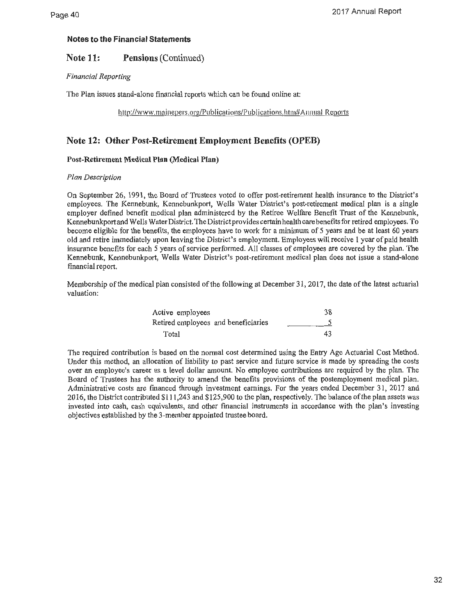#### **Note 11:** Pensions (Continued)

#### *Financial Reporting*

The Plan issues stand-alone financial reports which can be found online at:

http://www.mainepers.org/Publications/Publications.htm#Annual Reports

#### **Note 12: Other Post-Retirement Employment Benefits (OPEB)**

#### **Post-Retirement Medical Plan (Medical Plan)**

#### *Plan Description*

On September 26, 1991, the Board of Trustees voted to offer post-retirement health insurance to the District's employees. The Kennebunk, Kennebunkport, Wells Water District's post-retirement medical plan is a single employer defined benefit medical plan administered by the Retiree Welfare Benefit Trust of the Kennebunk, Kennebunkport and Wells Water District. The District provides certain health care benefits for retired employees. To become eligible for the benefits, the employees have to work for a minimum of *5* years and be at least 60 years old and retire immediately upon leaving the District's employment. Employees will receive l year of paid health insurance benefits for each 5 years of service performed. All classes of employees are covered by the plan. The Kennebunk, Kennebunkport, Wells Water District's post-retirement medical plan does not issue a stand-alone financial report.

Membership of the medical plan consisted of the following at December 31, 2017, the date of the latest actuarial valuation:

| Active employees                    | 38 |
|-------------------------------------|----|
| Retired employees and beneficiaries |    |
| Total                               | 43 |

The required contribution is based on the normal cost determined using the Entry Age Actuarial Cost Method. Under this method, an allocation of liability to past service and future service is made by spreading the costs over an employee's career as a level dollar amount. No employee contributions are required by the plan. The Board of Trustees has the authority to amend the benefits provisions of the postemployment medical plan. Administrative costs are fmanced through investment earnings. For the years ended December 31, 2017 and 2016, the District contributed \$111,243 and \$125,900 to the plan, respectively. The balance of the plan assets was invested into cash, cash equivalents, and other financial instruments in accordance with the plan's investing objectives established by the 3-member appointed trustee board.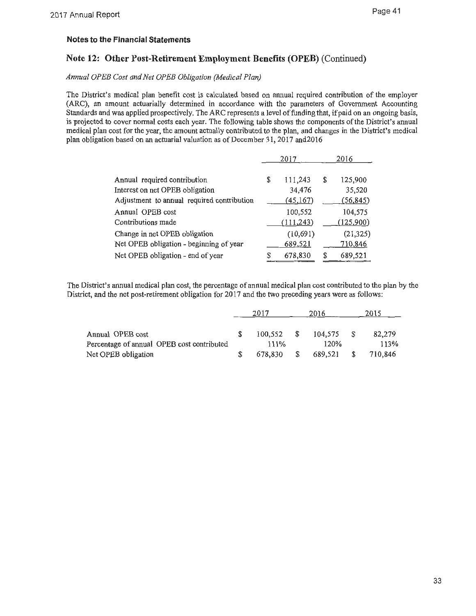#### **Note 12: Other Post-Retirement Employment Benefits (OPEB)** (Continued)

#### *Annual OPEB Cost and Net OPEB Obligation (Medical Plan)*

The District's medical plan benefit cost is calculated based on annual required contribution of the employer (ARC), an amount actuarially determined in accordance with the parameters of Government Accounting Standards and was applied prospectively. The ARC represents a level of funding that, if paid on an ongoing basis, is projected to cover normal costs each year. The following table shows the components of the District's annual medical plan cost for the year, the amount actually contributed to the plan, and changes in the District's medical plan obligation based on an actuarial valuation as of December 31, 2017 and2016

|                                            | 2017 |           |   | 2016      |
|--------------------------------------------|------|-----------|---|-----------|
|                                            |      |           |   |           |
| Annual required contribution               | \$   | 111,243   | S | 125,900   |
| Interest on net OPEB obligation            |      | 34,476    |   | 35,520    |
| Adjustment to annual required contribution |      | (45, 167) |   | (56, 845) |
| Annual OPEB cost                           |      | 100,552   |   | 104,575   |
| Contributions made                         |      | (111,243) |   | (125,900) |
| Change in net OPEB obligation              |      | (10,691)  |   | (21, 325) |
| Net OPEB obligation - beginning of year    |      | 689,521   |   | 710,846   |
| Net OPEB obligation - end of year          | S    | 678,830   | S | 689,521   |

The District's annual medical plan cost, the percentage of annual medical plan cost contributed to the plan by the District, and the net post-retirement obligation for 2017 and the two preceding years were as follows:

|                                            | 2017 |              | 2016 |         | 2015 |         |
|--------------------------------------------|------|--------------|------|---------|------|---------|
|                                            |      |              |      |         |      |         |
| Annual OPEB cost                           |      | $100.552$ \$ |      | 104,575 |      | 82,279  |
| Percentage of annual OPEB cost contributed |      | 111%         |      | 120%    |      | 113%    |
| Net OPEB obligation                        |      | 678,830      | \$   | 689,521 |      | 710,846 |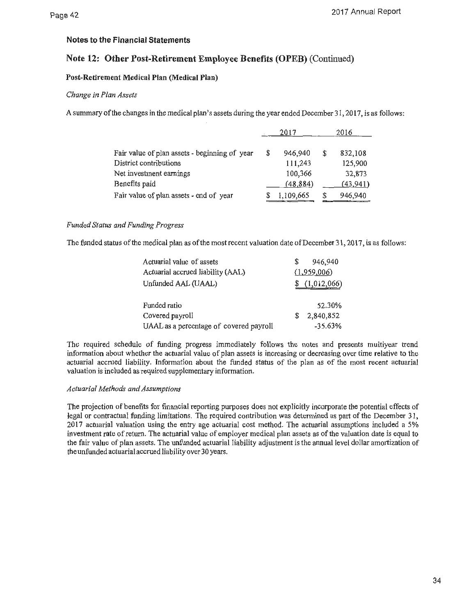#### **Note 12: Other Post-Retirement Employee Benefits (OPEB)** (Continued)

#### **Post-Retirement Medical Plan (Medical Plan)**

#### *Change in Plan Assets*

A summary of the changes in the medical plan's assets during the year ended December 31, 2017, is as follows:

|                                               | 2017 |           | 2016      |
|-----------------------------------------------|------|-----------|-----------|
|                                               |      |           |           |
| Fair value of plan assets - beginning of year | S    | 946,940   | 832,108   |
| District contributions                        |      | 111,243   | 125,900   |
| Net investment earnings                       |      | 100,366   | 32,873    |
| Benefits paid                                 |      | (48, 884) | (43, 941) |
| Fair value of plan assets - end of year       |      | 1,109,665 | 946,940   |

#### *Funded Status and Funding Progress*

The funded status of the medical plan as of the most recent valuation date of December 31, 2017, is as follows:

| Actuarial value of assets               |   | 946,940     |
|-----------------------------------------|---|-------------|
| Actuarial accrued liability (AAL)       |   | (1,959,006) |
| Unfunded AAL (UAAL)                     |   | (1,012,066) |
| Funded ratio                            |   | 52.30%      |
| Covered payroll                         | S | 2,840,852   |
| UAAL as a percentage of covered payroll |   | -35.63%     |

The required schedule of funding progress immediately follows the notes and presents multiyear trend information about whether the actuarial value of plan assets is increasing or decreasing over time relative to the actuarial accrued liability. Information about the funded status of the plan as of the most recent actuarial valuation is included as required supplementary information.

#### *Actuarial Methods and Assumptions*

The projection of benefits for financial reporting purposes does not explicitly incorporate the potential effects of legal or contractual funding limitations. The required contribution was determined as part of the December 31, 2017 actuarial valuation using the entry age actuarial cost method. The actuarial assumptions included a 5% investment rate of return. The actuarial value of employer medical plan assets as of the valuation date is equal to the fair value of plan assets. The unfunded actuarial liability adjustment is the annual level dollar amortization of the unfunded actuarial accrued liability over 30 years.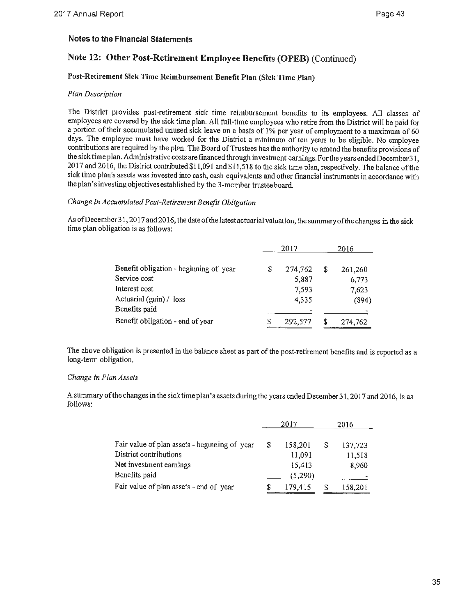#### **Note 12: Other Post-Retirement Employee Benefits (OPEB)** (Continued)

#### **Post-Retirement Sick Time Reimbursement Benefit Plan (Sick Time Plan)**

#### *Plan Description*

The District provides post-retirement sick time reimbursement benefits to its employees. All classes of employees are covered by the sick time plan. All full-time employees who retire from the District will be paid for a portion of their accumulated unused sick leave on a basis of I% per year of employment to a maximum of 60 days. The employee must have worked for the District a minimum of ten years to be eligible. No employee contributions are required by the plan. The Board of Trustees has the authority to amend the benefits provisions of the sick time plan. Administrative costs are financed through investment earnings. For the years ended December 31, 2017 and 2016, the District contributed \$11,091 and \$11,518 to the sick time plan, respectively. The balance of the sick time plan's assets was invested into cash, cash equivalents and other financial instruments in accordance with theplan'sinvestingobjectivesestablished by the 3-member trusteeboard.

#### *Change in Accumulated Post-Retirement Benefit Obligation*

As of December 31, 2017 and 2016, the date of the latest actuarial valuation, the summary of the changes in the sick time plan obligation is as follows:

|                                        |   | 2017    |  | 2016    |
|----------------------------------------|---|---------|--|---------|
|                                        |   |         |  |         |
| Benefit obligation - beginning of year | S | 274,762 |  | 261,260 |
| Service cost                           |   | 5,887   |  | 6,773   |
| Interest cost                          |   | 7,593   |  | 7,623   |
| Actuarial (gain) / loss                |   | 4,335   |  | (894)   |
| Benefits paid                          |   |         |  |         |
| Benefit obligation - end of year       | S | 292,577 |  | 274,762 |

The above obligation is presented in the balance sheet as part of the post-retirement benefits and is reported as a long-term obligation.

#### *Change in Plan Assets*

A summary of the changes in the sick time plan's assets during the years ended December 31, 2017 and 2016, is as follows:

|                                               | 2017 |         |    | 2016    |
|-----------------------------------------------|------|---------|----|---------|
|                                               |      |         |    |         |
| Fair value of plan assets - beginning of year | S    | 158,201 | -S | 137,723 |
| District contributions                        |      | 11,091  |    | 11,518  |
| Net investment earnings                       |      | 15,413  |    | 8,960   |
| Benefits paid                                 |      | (5,290) |    |         |
| Fair value of plan assets - end of year       |      | 179,415 |    | 158,201 |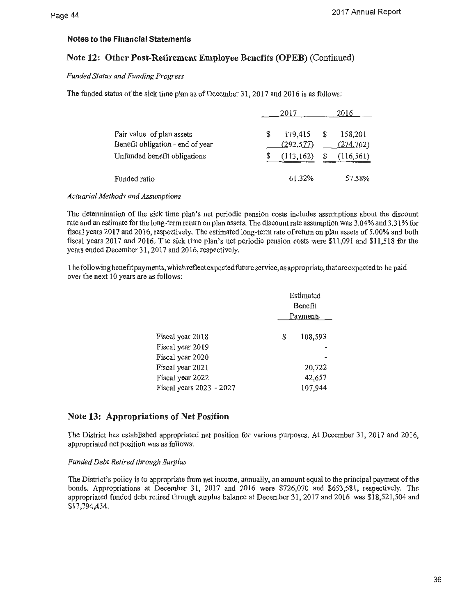### **Note 12: Other Post~Retirement Employee Benefits (OPEB)** (Continued)

#### *Funded Status and Funding Progress*

The funded status of the sick time plan as of December 31, 2017 and 2016 is as follows:

|                                                                                               |   | 2017                                | 2016                                      |
|-----------------------------------------------------------------------------------------------|---|-------------------------------------|-------------------------------------------|
| Fair value of plan assets<br>Benefit obligation - end of year<br>Unfunded benefit obligations | S | 179,415<br>(292, 577)<br>(113, 162) | \$<br>158,201<br>(274, 762)<br>(116, 561) |
| Funded ratio                                                                                  |   | 61.32%                              | 57.58%                                    |

#### *Actuarial Methods and Assumptions*

The determination of the sick time plan's net periodic pension costs includes assumptions about the discount rate and an estimate for the long-term return on plan assets. The discount rate assumption was 3.04% and 3.31 % for fiscal years 2017 and 2016, respectively. The estimated long-term rate ofretum on plan assets of 5.00% and both fiscal years 2017 and 2016. The sick time plan's net periodic pension costs were \$11,091 and \$11,518 for the years ended December 31, 2017 and 2016, respectively.

The following benefit payments, which reflect expected future service, as appropriate, that are expected to be paid over the next 10 years are as follows:

|                          |   | Estimated<br>Benefit<br>Payments |
|--------------------------|---|----------------------------------|
|                          |   |                                  |
| Fiscal year 2018         | S | 108,593                          |
| Fiscal year 2019         |   |                                  |
| Fiscal year 2020         |   |                                  |
| Fiscal year 2021         |   | 20,722                           |
| Fiscal year 2022         |   | 42,657                           |
| Fiscal years 2023 - 2027 |   | 107,944                          |

#### **Note 13: Appropriations of Net Position**

The District has established appropriated net position for various purposes. At December 31, 2017 and 2016, appropriated net position was as follows:

#### *Funded Debt Retired through Surplus*

The District's policy is to appropriate from net income, annually, an amount equal to the principal payment of the bonds. Appropriations at December 31, 2017 and 2016 were \$726,070 and \$653,581, respectively. The appropriated funded debt retired through surplus balance at December 31, 2017 and 2016 was \$18,521,504 and \$17,794,434.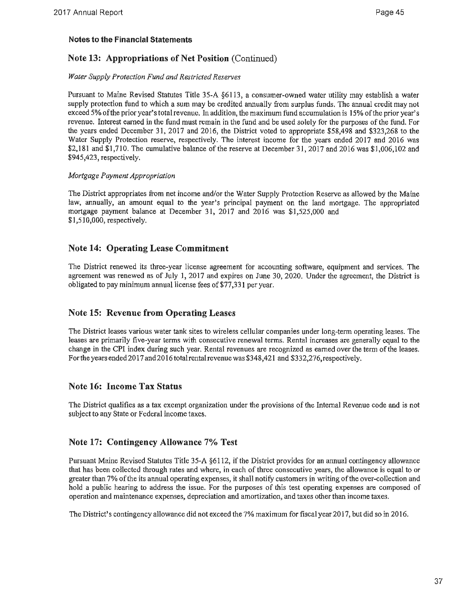#### **Note 13: Appropriations of Net Position** (Continued)

#### *Water Supply Protection Fund and Restricted Reserves*

Pursuant to Maine Revised Statutes Title 35-A §6113, a consumer-owned water utility may establish a water supply protection fund to which a sum may be credited annually from surplus funds. The annual credit may not exceed 5% of the prior year's total revenue. In addition, the maximum fund accumulation is 15% of the prior year's revenue. Interest earned in the fund must remain in the fund and be used solely for the purposes of the fund. For the years ended December 31, 2017 and 2016, the District voted to appropriate \$58,498 and \$323,268 to the Water Supply Protection reserve, respectively. The interest income for the years ended 2017 and 2016 was \$2,181 and \$1,710. The cumulative balance of the reserve at December 31, 2017 and 2016 was \$1,006,102 and \$945,423, respectively.

#### *Mortgage Payment Appropriation*

The District appropriates from net income and/or the Water Supply Protection Reserve as allowed by the Maine law, annually, an amount equal to the year's principal payment on the land mortgage. The appropriated mortgage payment balance at December 31, 2017 and 2016 was \$1,525,000 and \$1,510,000, respectively.

#### **Note 14: Operating Lease Commitment**

The District renewed its three-year license agreement for accounting software, equipment and services. The agreement was renewed as of July I, 2017 and expires on June 30, 2020. Under the agreement, the District is obligated to pay minimum annual license fees of\$77,33 **l** per year.

#### **Note 15: Revenue from Operating Leases**

The District leases various water tank sites to wireless cellular companies under long-term operating leases. The leases are primarily five-year terms with consecutive renewal terms. Rental increases are generally equal to the change in the CPI index during such year. Rental revenues are recognized as earned over the term of the leases. For the years ended 2017 and 2016 total rental revenue was \$348,421 and \$332,276, respectively.

#### **Note 16: Income Tax Status**

The District qualifies as a tax exempt organization under the provisions of the Internal Revenue code and is not subject to any State or Federal income taxes.

#### **Note 17: Contingency Allowance 7% Test**

Pursuant Maine Revised Statutes Title 35-A §6112, if the District provides for an annual contingency allowance that has been collected through rates and where, in each of three consecutive years, the allowance is equal to or greater than 7% of the its annual operating expenses, it shall notify customers in writing of the over-collection and hold a public hearing to address the issue. For the purposes of this test operating expenses are composed of operation and maintenance expenses, depreciation and amortization, and taxes other than income taxes.

The District's contingency allowance did not exceed the 7% maximum for fiscal year 2017, but did so in 2016.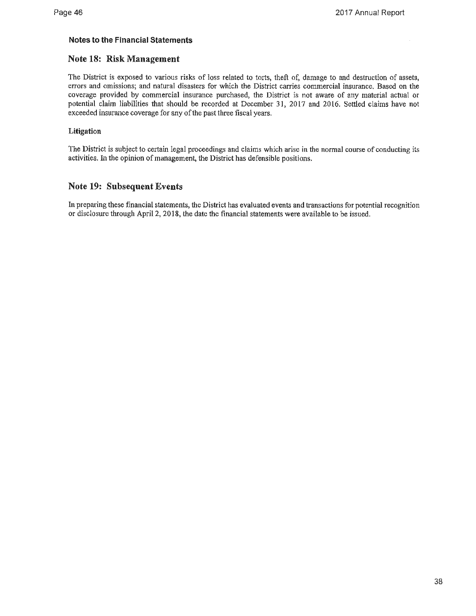#### **Note 18: Risk Management**

The District is exposed to various risks of loss related to torts, theft of, damage to and destruction of assets, errors and omissions; and natural disasters for which the District carries commercial insurance. Based on the coverage provided by commercial insurance purchased, the District is not aware of any material actual or potential claim liabilities that should be recorded at December 31, 2017 and 2016. Settled claims have not exceeded insurance coverage for any of the past three fiscal years.

#### **Litigation**

The District is subject to certain legal proceedings and claims which arise in the normal course of conducting its activities. In the opinion of management, the District has defensible positions.

#### **Note 19: Subsequent Events**

In preparing these financial statements, the District has evaluated events and transactions for potential recognition or disclosure through April 2, 2018, the date the financial statements were available to be issued.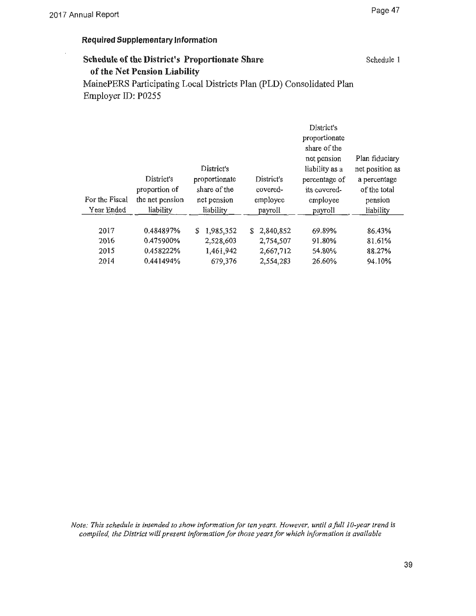## **Schedule of the District's Proportionate Share Schedule 1** Schedule 1 **of the Net Pension Liability**  MainePERS Participating Local Districts Plan (PLD) Consolidated Plan

Employer ID: P0255

|                |                             |                                             |                        | District's<br>proportionate<br>share of the                    |                                                                   |
|----------------|-----------------------------|---------------------------------------------|------------------------|----------------------------------------------------------------|-------------------------------------------------------------------|
|                | District's<br>proportion of | District's<br>proportionate<br>share of the | District's<br>covered- | net pension<br>liability as a<br>percentage of<br>its covered- | Plan fiduciary<br>net position as<br>a percentage<br>of the total |
| For the Fiscal | the net pension             | net pension                                 | employee               | employee                                                       | pension                                                           |
| Year Ended     | liability                   | liability                                   | payroll                | payroll                                                        | liability                                                         |
| 2017           | 0.484897%                   | 1,985,352<br>S                              | 2,840,852<br>S         | 69.89%                                                         | 86.43%                                                            |
| 2016           | 0.475900%                   | 2,528,603                                   | 2,754,507              | 91.80%                                                         | 81.61%                                                            |
| 2015           | 0.458222%                   | 1,461,942                                   | 2,667,712              | 54.80%                                                         | 88.27%                                                            |
| 2014           | 0.441494%                   | 679,376                                     | 2,554,283              | 26.60%                                                         | 94.10%                                                            |

*Note: This schedule is intended to show information for ten years. However, until a full ] 0-year trend is compiled, the District will present information for those years for which information is available*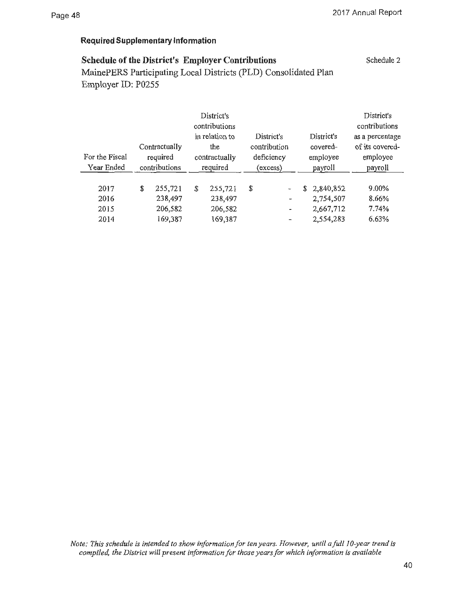## **Schedule of the District's Employer Contributions**  MainePERS Participating Local Districts (PLD) Consolidated Plan

Schedule 2

Employer ID: P0255

| For the Fiscal<br>Year Ended | Contractually<br>required<br>contributions     |    | District's<br>contributions<br>in relation to<br>District's<br>contribution<br>the<br>deficiency<br>contractually<br>required<br>(excess) |    |                                                                                                    | District's<br>covered-<br>employee<br>payroll      | District's<br>contributions<br>as a percentage<br>of its covered-<br>employee<br>payroll |
|------------------------------|------------------------------------------------|----|-------------------------------------------------------------------------------------------------------------------------------------------|----|----------------------------------------------------------------------------------------------------|----------------------------------------------------|------------------------------------------------------------------------------------------|
| 2017<br>2016<br>2015<br>2014 | \$<br>255,721<br>238,497<br>206,582<br>169,387 | \$ | 255,721<br>238,497<br>206,582<br>169,387                                                                                                  | \$ | $\overline{\phantom{a}}$<br>$\overline{\phantom{a}}$<br>$\blacksquare$<br>$\overline{\phantom{a}}$ | \$2,840,852<br>2,754,507<br>2,667,712<br>2,554,283 | 9.00%<br>8.66%<br>7.74%<br>6.63%                                                         |

*Note: This schedule is intended to show information for ten years. However, until a full JO-year trend is compiled, the District will present information for those years for which information is available*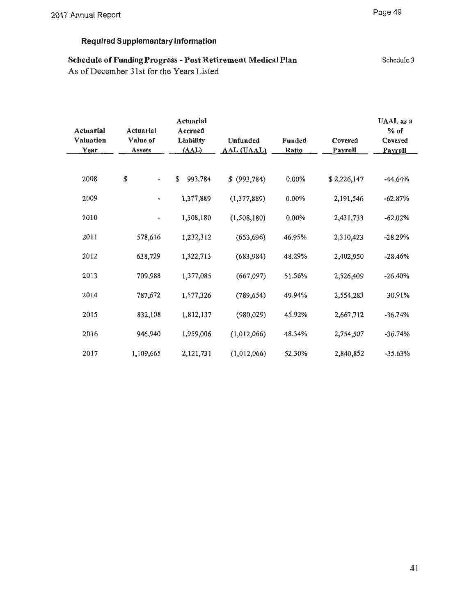#### **Schedule of Funding Progress** - **Post Retirement Medical Plan**  As of December 31st for the Years Listed Schedule 3

**Actuarial Actuarial Actuarial Accrued Valuation Value of** Liability **Unfunded Funded**  Year Assets (AAL) AAL(UAAL) Ratio **UAAL as a**  %of **Covered Covered**  Payroll Payroll

| 2008 | \$<br>$\overline{\phantom{a}}$ | \$<br>993,784 | \$ (993, 784) | 0.00%  | \$2,226,147 | -44.64%   |
|------|--------------------------------|---------------|---------------|--------|-------------|-----------|
| 2009 | ٠                              | 1,377,889     | (1, 377, 889) | 0.00%  | 2,191,546   | $-62.87%$ |
| 2010 | $\overline{\phantom{a}}$       | 1,508,180     | (1, 508, 180) | 0.00%  | 2,431,733   | $-62.02%$ |
| 2011 | 578,616                        | 1,232,312     | (653, 696)    | 46.95% | 2,310,423   | $-28.29%$ |
| 2012 | 638,729                        | 1,322,713     | (683, 984)    | 48.29% | 2,402,950   | $-28.46%$ |
| 2013 | 709,988                        | 1,377,085     | (667,097)     | 51.56% | 2,526,409   | $-26.40%$ |
| 2014 | 787,672                        | 1,577,326     | (789, 654)    | 49.94% | 2,554,283   | $-30.91%$ |
| 2015 | 832,108                        | 1,812,137     | (980,029)     | 45.92% | 2,667,712   | $-36.74%$ |
| 2016 | 946,940                        | 1,959,006     | (1,012,066)   | 48.34% | 2,754,507   | $-36.74%$ |
| 2017 | 1,109,665                      | 2, 121, 731   | (1,012,066)   | 52.30% | 2,840,852   | $-35.63%$ |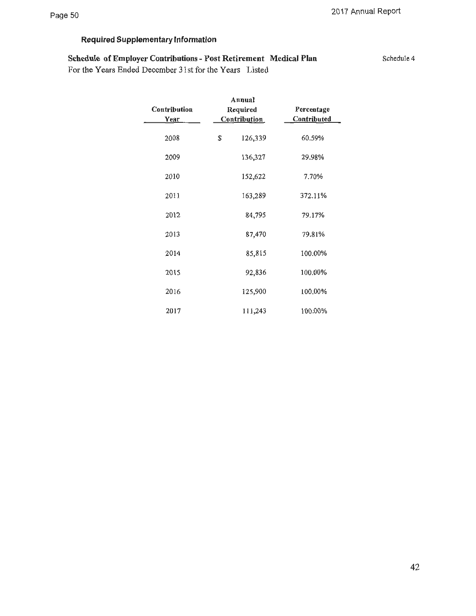## **Schedule of Employer Contributions** - **Post Retirement Medical Plan**

For the Years Ended December 31st for the Years Listed

Schedule 4

| Contribution<br>Year | Annual<br>Required<br>Contribution | Percentage<br>Contributed |
|----------------------|------------------------------------|---------------------------|
| 2008                 | \$<br>126,339                      | 60.59%                    |
| 2009                 | 136,327                            | 29.98%                    |
| 2010                 | 152,622                            | 7.70%                     |
| 2011                 | 163,289                            | 372.11%                   |
| 2012                 | 84,795                             | 79.17%                    |
| 2013                 | 87,470                             | 79.81%                    |
| 2014                 | 85,815                             | 100.00%                   |
| 2015                 | 92,836                             | 100.00%                   |
| 2016                 | 125,900                            | 100.00%                   |
| 2017                 | 111,243                            | 100.00%                   |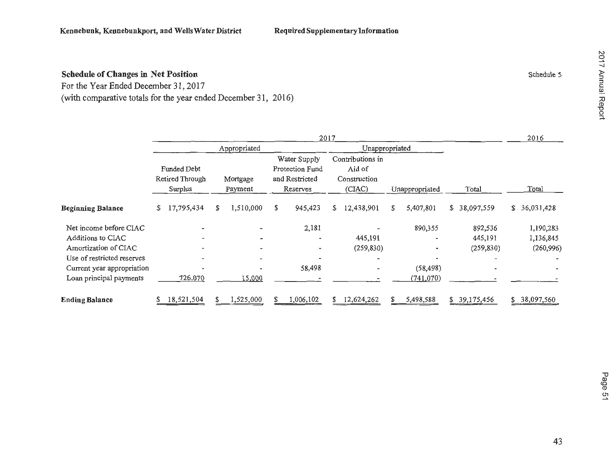Schedule 5

## **Schedule of Changes in Net Position**

For the Year Ended December 31, 2017 (with comparative totals for the year ended December 31, 2016)

|                            | 2017 |                              |    |                     |                | 2016                            |    |                            |   |                |    |            |    |            |
|----------------------------|------|------------------------------|----|---------------------|----------------|---------------------------------|----|----------------------------|---|----------------|----|------------|----|------------|
|                            |      | Appropriated                 |    |                     | Unappropriated |                                 |    |                            |   |                |    |            |    |            |
|                            |      | Funded Debt                  |    |                     |                | Water Supply<br>Protection Fund |    | Contributions in<br>Aid of |   |                |    |            |    |            |
|                            |      | Retired Through<br>Surplus   |    | Mortgage<br>Payment |                | and Restricted<br>Reserves      |    | Construction<br>(CIAC)     |   | Unappropriated |    | Total      |    | Total      |
| <b>Beginning Balance</b>   | \$   | 17,795,434                   | \$ | 1,510,000           | S              | 945,423                         | S. | 12,438,901                 | S | 5,407,801      | \$ | 38,097,559 | \$ | 36,031,428 |
| Net income before CIAC     |      |                              |    |                     |                | 2,181                           |    |                            |   | 890,355        |    | 892,536    |    | 1,190,283  |
| Additions to CIAC          |      |                              |    |                     |                |                                 |    | 445,191                    |   | $\rightarrow$  |    | 445,191    |    | 1,136,845  |
| Amortization of CIAC       |      |                              |    |                     |                |                                 |    | (259, 830)                 |   |                |    | (259, 830) |    | (260, 996) |
| Use of restricted reserves |      | $\qquad \qquad \blacksquare$ |    |                     |                |                                 |    |                            |   |                |    |            |    |            |
| Current year appropriation |      | ÷                            |    |                     |                | 58,498                          |    | $\rightarrow$              |   | (58, 498)      |    |            |    |            |
| Loan principal payments    |      | 726.070                      |    | 15,000              |                |                                 |    |                            |   | (741,070)      |    |            |    |            |
| <b>Ending Balance</b>      | S    | 18,521,504                   |    | 1,525,000           |                | 1,006,102                       |    | 12,624,262                 |   | 5,498,588      | S. | 39,175,456 | S  | 38,097,560 |

Report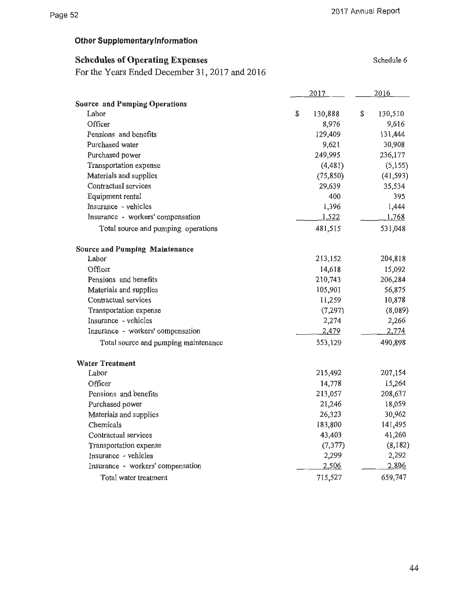## **Other Supplementarylnformation**

## **Schedules of Operating Expenses**

For the Years Ended December 31, 2017 and 2016

|                                      | 2017          | 2016          |
|--------------------------------------|---------------|---------------|
| <b>Source and Pumping Operations</b> |               |               |
| Labor                                | \$<br>130,888 | \$<br>130,510 |
| Officer                              | 8,976         | 9,616         |
| Pensions and benefits                | 129,409       | 131,444       |
| Purchased water                      | 9,621         | 30,908        |
| Purchased power                      | 249,995       | 236,177       |
| Transportation expense               | (4, 481)      | (5, 155)      |
| Materials and supplies               | (75, 850)     | (41, 593)     |
| Contractual services                 | 29,639        | 35,534        |
| Equipment rental                     | 400           | 395           |
| Insurance - vehicles                 | 1,396         | 1,444         |
| Insurance - workers' compensation    | 1,522         | 1,768         |
| Total source and pumping operations  | 481,515       | 531,048       |
| Source and Pumping Maintenance       |               |               |
| Labor                                | 213,152       | 204,818       |
| Officer                              | 14,618        | 15,092        |
| Pensions and benefits                | 210,743       | 206,284       |
| Materials and supplies               | 105,901       | 56,875        |
| Contractual services                 | 11,259        | 10,878        |
| Transportation expense               | (7, 297)      | (8,089)       |
| Insurance - vehicles                 | 2,274         | 2,266         |
| Insurance - workers' compensation    | 2,479         | 2,774         |
| Total source and pumping maintenance | 553,129       | 490,898       |
| <b>Water Treatment</b>               |               |               |
| Labor                                | 215,492       | 207,154       |
| Officer                              | 14,778        | 15,264        |
| Pensions and benefits                | 213,057       | 208,637       |
| Purchased power                      | 21,246        | 18,059        |
| Materials and supplies               | 26,323        | 30,962        |
| Chemicals                            | 183,800       | 141,495       |
| Contractual services                 | 43,403        | 41,260        |
| Transportation expense               | (7, 377)      | (8,182)       |
| Insurance - vehicles                 | 2,299         | 2,292         |
| Insurance - workers' compensation    | 2,506         | 2,806         |
| Total water treatment                | 715,527       | 659,747       |

Schedule 6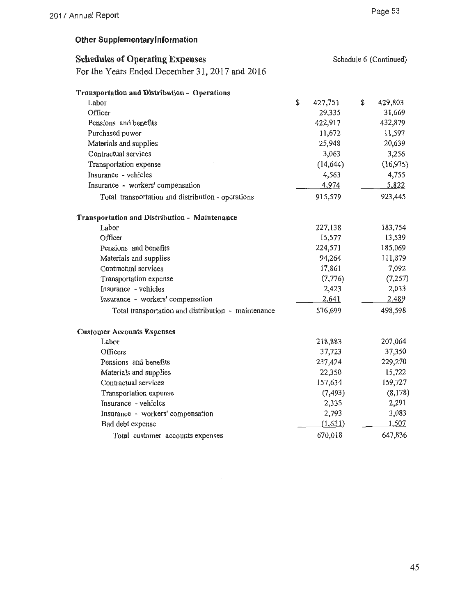## **Other Supplementary Information**

| <b>Schedules of Operating Expenses</b><br>For the Years Ended December 31, 2017 and 2016 |               | Schedule 6 (Continued) |
|------------------------------------------------------------------------------------------|---------------|------------------------|
| Transportation and Distribution - Operations                                             |               |                        |
| Labor                                                                                    | \$<br>427,751 | \$<br>429,803          |
| Officer                                                                                  | 29,335        | 31,669                 |
| Pensions and benefits                                                                    | 422,917       | 432,879                |
| Purchased power                                                                          | 11,672        | 11,597                 |
| Materials and supplies                                                                   | 25,948        | 20,639                 |
| Contractual services                                                                     | 3,063         | 3,256                  |
| Transportation expense                                                                   | (14, 644)     | (16,975)               |
| Insurance - vehicles                                                                     | 4,563         | 4,755                  |
| Insurance - workers' compensation                                                        | 4,974         | 5,822                  |
| Total transportation and distribution - operations                                       | 915,579       | 923,445                |
| Transportation and Distribution - Maintenance                                            |               |                        |
| Labor                                                                                    | 227,138       | 183,754                |
| Officer                                                                                  | 15,577        | 13,539                 |
| Pensions and benefits                                                                    | 224,571       | 185,069                |
| Materials and supplies                                                                   | 94,264        | 111,879                |
| Contractual services                                                                     | 17,861        | 7,092                  |
| Transportation expense                                                                   | (7, 776)      | (7,257)                |
| Insurance - vehicles                                                                     | 2,423         | 2,033                  |
| Insurance - workers' compensation                                                        | 2,641         | 2,489                  |
| Total transportation and distribution - maintenance                                      | 576,699       | 498,598                |
| <b>Customer Accounts Expenses</b>                                                        |               |                        |
| Labor                                                                                    | 218,883       | 207,064                |
| Officers                                                                                 | 37,723        | 37,350                 |
| Pensions and benefits                                                                    | 237,424       | 229,270                |
| Materials and supplies                                                                   | 22,350        | 15,722                 |
| Contractual services                                                                     | 157,634       | 159,727                |
| Transportation expense                                                                   | (7, 493)      | (8, 178)               |
| Insurance - vehicles                                                                     | 2,335         | 2,291                  |
| Insurance - workers' compensation                                                        | 2,793         | 3,083                  |
| Bad debt expense                                                                         | (1,631)       | 1,507                  |
| Total customer accounts expenses                                                         | 670,018       | 647,836                |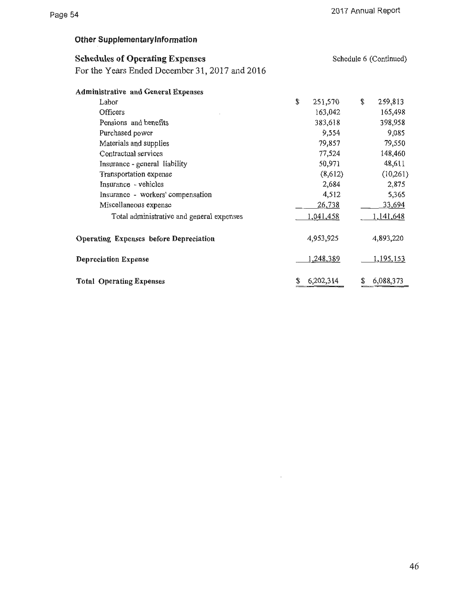#### **Other Supplementary Information**

| <b>Schedules of Operating Expenses</b>         | Schedule 6 (Continued) |
|------------------------------------------------|------------------------|
| For the Years Ended December 31, 2017 and 2016 |                        |

| <b>Administrative and General Expenses</b>    |               |                 |
|-----------------------------------------------|---------------|-----------------|
| Labor                                         | \$<br>251,570 | \$<br>259,813   |
| Officers                                      | 163,042       | 165,498         |
| Pensions and benefits                         | 383,618       | 398,958         |
| Purchased power                               | 9,554         | 9,085           |
| Materials and supplies                        | 79,857        | 79,550          |
| Contractual services                          | 77,524        | 148,460         |
| Insurance - general liability                 | 50,971        | 48,611          |
| Transportation expense                        | (8,612)       | (10,261)        |
| Insurance - vehicles                          | 2,684         | 2,875           |
| Insurance - workers' compensation             | 4,512         | 5,365           |
| Miscellaneous expense                         | 26,738        | 33,694          |
| Total administrative and general expenses     | 1,041,458     | 1,141,648       |
| <b>Operating Expenses before Depreciation</b> | 4,953,925     | 4,893,220       |
| <b>Depreciation Expense</b>                   | 1,248,389     | 1,195,153       |
| <b>Total Operating Expenses</b>               | 6,202,314     | \$<br>6,088,373 |

 $\sim$   $\sim$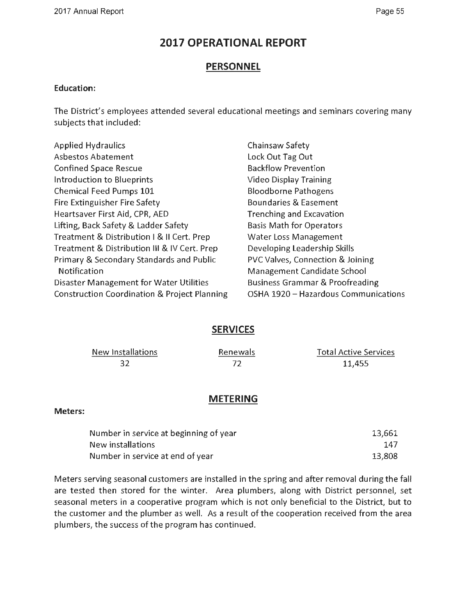## **2017 OPERATIONAL REPORT**

## **PERSONNEL**

#### **Education:**

The District's employees attended several educational meetings and seminars covering many subjects that included:

Applied Hydraulics Asbestos Abatement Confined Space Rescue Introduction to Blueprints Chemical Feed Pumps 101 Fire Extinguisher Fire Safety Heartsaver First Aid, CPR, AED Lifting, Back Safety & Ladder Safety Treatment & Distribution I & II Cert. Prep Treatment & Distribution Ill & IV Cert. Prep Primary & Secondary Standards and Public Notification Disaster Management for Water Utilities Construction Coordination & Project Planning

Chainsaw Safety Lock Out Tag Out Backflow Prevention Video Display Training Bloodborne Pathogens Boundaries & Easement Trenching and Excavation Basis Math for Operators Water Loss Management Developing Leadership Skills PVC Valves, Connection & Joining Management Candidate School Business Grammar & Proofreading OSHA 1920 - Hazardous Communications

## **SERVICES**

New Installations 32

Renewals 72

Total Active Services 11,455

## **METERING**

#### **Meters:**

| Number in service at beginning of year | 13,661 |
|----------------------------------------|--------|
| New installations                      | 147.   |
| Number in service at end of year       | 13.808 |

Meters serving seasonal customers are installed in the spring and after removal during the fall are tested then stored for the winter. Area plumbers, along with District personnel, set seasonal meters in a cooperative program which is not only beneficial to the District, but to the customer and the plumber as well. As a result of the cooperation received from the area plumbers, the success of the program has continued.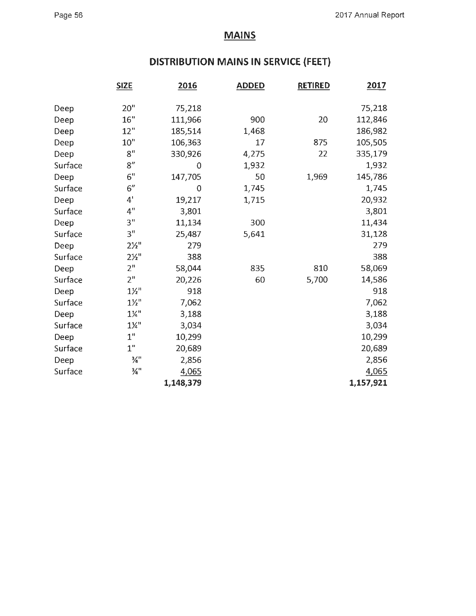## **MAINS**

## **DISTRIBUTION MAINS IN SERVICE (FEET)**

|         | <b>SIZE</b>     | 2016      | <b>ADDED</b> | <b>RETIRED</b> | 2017      |
|---------|-----------------|-----------|--------------|----------------|-----------|
|         |                 |           |              |                |           |
| Deep    | 20"             | 75,218    |              |                | 75,218    |
| Deep    | 16"             | 111,966   | 900          | 20             | 112,846   |
| Deep    | 12"             | 185,514   | 1,468        |                | 186,982   |
| Deep    | 10"             | 106,363   | 17           | 875            | 105,505   |
| Deep    | 8 <sup>n</sup>  | 330,926   | 4,275        | 22             | 335,179   |
| Surface | 8''             | 0         | 1,932        |                | 1,932     |
| Deep    | 6"              | 147,705   | 50           | 1,969          | 145,786   |
| Surface | 6''             | 0         | 1,745        |                | 1,745     |
| Deep    | 4'              | 19,217    | 1,715        |                | 20,932    |
| Surface | 4"              | 3,801     |              |                | 3,801     |
| Deep    | 3"              | 11,134    | 300          |                | 11,434    |
| Surface | 3 <sup>n</sup>  | 25,487    | 5,641        |                | 31,128    |
| Deep    | $2\frac{1}{2}$  | 279       |              |                | 279       |
| Surface | $2\frac{1}{2}$  | 388       |              |                | 388       |
| Deep    | 2 <sup>n</sup>  | 58,044    | 835          | 810            | 58,069    |
| Surface | 2 <sup>n</sup>  | 20,226    | 60           | 5,700          | 14,586    |
| Deep    | $1\frac{1}{2}$  | 918       |              |                | 918       |
| Surface | $1\frac{1}{2}$  | 7,062     |              |                | 7,062     |
| Deep    | $1\frac{1}{4}$  | 3,188     |              |                | 3,188     |
| Surface | $1\frac{1}{4}$  | 3,034     |              |                | 3,034     |
| Deep    | 1"              | 10,299    |              |                | 10,299    |
| Surface | 1 <sup>''</sup> | 20,689    |              |                | 20,689    |
| Deep    | $\frac{3}{4}$ " | 2,856     |              |                | 2,856     |
| Surface | $\frac{3}{4}$ " | 4,065     |              |                | 4,065     |
|         |                 | 1,148,379 |              |                | 1,157,921 |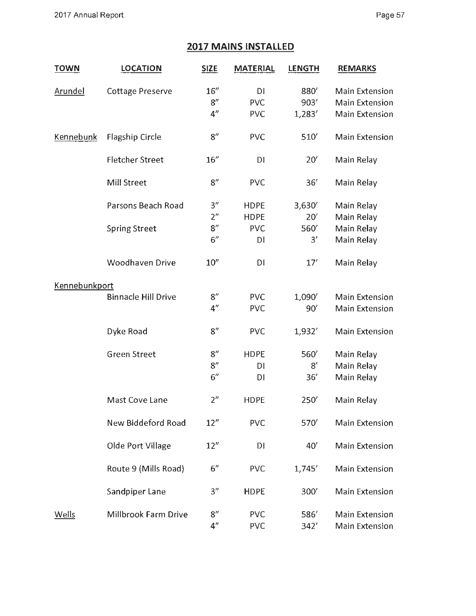## **2017 MAINS INSTALLED**

| <b>TOWN</b>   | <b>LOCATION</b>            | <b>SIZE</b>    | <b>MATERIAL</b> | <b>LENGTH</b> | <b>REMARKS</b>        |
|---------------|----------------------------|----------------|-----------------|---------------|-----------------------|
| Arundel       | Cottage Preserve           | 16''           | DI              | 880           | <b>Main Extension</b> |
|               |                            | 8''            | <b>PVC</b>      | 903'          | <b>Main Extension</b> |
|               |                            | 4"             | <b>PVC</b>      | 1,283'        | <b>Main Extension</b> |
| Kennebunk     | <b>Flagship Circle</b>     | 8''            | <b>PVC</b>      | 510           | <b>Main Extension</b> |
|               | <b>Fletcher Street</b>     | 16''           | DI              | 20'           | Main Relay            |
|               | Mill Street                | 8"             | <b>PVC</b>      | 36'           | Main Relay            |
|               | Parsons Beach Road         | 3''            | <b>HDPE</b>     | 3,630'        | Main Relay            |
|               |                            | 2 <sup>n</sup> | <b>HDPE</b>     | 20'           | Main Relay            |
|               | <b>Spring Street</b>       | 8''            | <b>PVC</b>      | 560           | Main Relay            |
|               |                            | 6"             | DI              | 3'            | Main Relay            |
|               | <b>Woodhaven Drive</b>     | 10''           | DI              | 17'           | Main Relay            |
| Kennebunkport |                            |                |                 |               |                       |
|               | <b>Binnacle Hill Drive</b> | 8''            | <b>PVC</b>      | 1,090'        | <b>Main Extension</b> |
|               |                            | 4 <sup>n</sup> | <b>PVC</b>      | 90'           | <b>Main Extension</b> |
|               | Dyke Road                  | 8''            | <b>PVC</b>      | 1,932'        | Main Extension        |
|               | <b>Green Street</b>        | 8''            | <b>HDPE</b>     | 560           | Main Relay            |
|               |                            | 8''            | DI              | 8'            | Main Relay            |
|               |                            | 6''            | DI              | 36'           | Main Relay            |
|               | Mast Cove Lane             | 2"             | <b>HDPE</b>     | 250'          | Main Relay            |
|               | <b>New Biddeford Road</b>  | 12''           | <b>PVC</b>      | 570           | <b>Main Extension</b> |
|               | Olde Port Village          | 12''           | DI              | 40'           | <b>Main Extension</b> |
|               | Route 9 (Mills Road)       | 6"             | <b>PVC</b>      | 1,745'        | <b>Main Extension</b> |
|               | Sandpiper Lane             | 3''            | <b>HDPE</b>     | 300'          | Main Extension        |
| Wells         | Millbrook Farm Drive       | 8''            | <b>PVC</b>      | 586'          | Main Extension        |
|               |                            | 4 <sup>n</sup> | <b>PVC</b>      | 342'          | Main Extension        |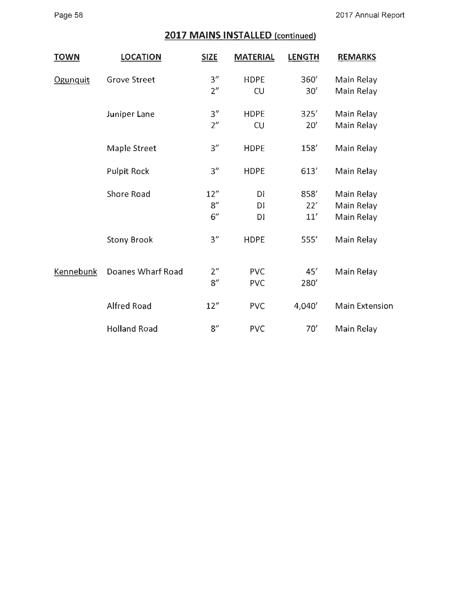## **2017 MAINS INSTALLED** (continued)

| <b>TOWN</b>     | <b>LOCATION</b>     | <b>SIZE</b>    | <b>MATERIAL</b> | <b>LENGTH</b> | <b>REMARKS</b>        |
|-----------------|---------------------|----------------|-----------------|---------------|-----------------------|
| <b>Ogunquit</b> | <b>Grove Street</b> | 3 <sup>n</sup> | <b>HDPE</b>     | 360           | Main Relay            |
|                 |                     | 2 <sup>n</sup> | CU              | 30'           | Main Relay            |
|                 | Juniper Lane        | 3''            | <b>HDPE</b>     | 325'          | Main Relay            |
|                 |                     | 2 <sup>n</sup> | CU              | 20'           | Main Relay            |
|                 | <b>Maple Street</b> | 3''            | <b>HDPE</b>     | 158'          | Main Relay            |
|                 | <b>Pulpit Rock</b>  | 3''            | <b>HDPE</b>     | 613'          | Main Relay            |
|                 | <b>Shore Road</b>   | 12''           | DI              | 858           | Main Relay            |
|                 |                     | 8''            | DI              | 22'           | Main Relay            |
|                 |                     | 6''            | DI              | 11'           | Main Relay            |
|                 | <b>Stony Brook</b>  | 3''            | <b>HDPE</b>     | 555'          | Main Relay            |
| Kennebunk       | Doanes Wharf Road   | 2 <sup>n</sup> | <b>PVC</b>      | 45'           | Main Relay            |
|                 |                     | 8''            | <b>PVC</b>      | 280'          |                       |
|                 | <b>Alfred Road</b>  | 12''           | <b>PVC</b>      | 4,040'        | <b>Main Extension</b> |
|                 | <b>Holland Road</b> | 8''            | <b>PVC</b>      | 70'           | Main Relay            |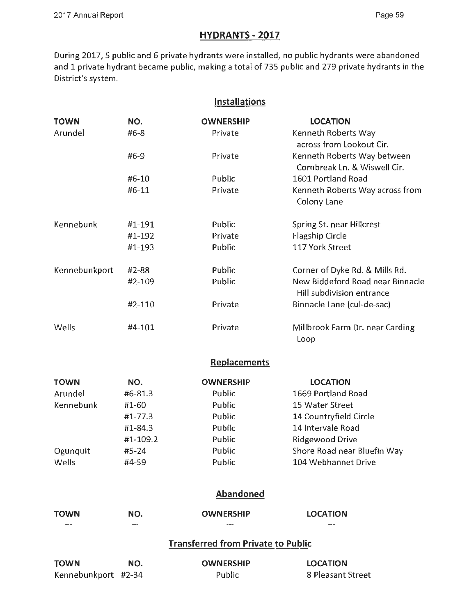## **HYDRANTS- 2017**

During 2017, 5 public and 6 private hydrants were installed, no public hydrants were abandoned and 1 private hydrant became public, making a total of 735 public and 279 private hydrants in the District's system.

## **Installations**

| <b>TOWN</b>         | NO.                                       | <b>OWNERSHIP</b>    | <b>LOCATION</b>                                               |  |  |  |  |
|---------------------|-------------------------------------------|---------------------|---------------------------------------------------------------|--|--|--|--|
| Arundel             | $#6-8$                                    | Private             | Kenneth Roberts Way<br>across from Lookout Cir.               |  |  |  |  |
|                     | #6-9                                      | Private             | Kenneth Roberts Way between<br>Cornbreak Ln. & Wiswell Cir.   |  |  |  |  |
|                     | #6-10                                     | Public              | 1601 Portland Road                                            |  |  |  |  |
|                     | #6-11                                     | Private             | Kenneth Roberts Way across from<br>Colony Lane                |  |  |  |  |
| Kennebunk           | #1-191                                    | Public              | <b>Spring St. near Hillcrest</b>                              |  |  |  |  |
|                     | #1-192                                    | Private             | <b>Flagship Circle</b>                                        |  |  |  |  |
|                     | #1-193                                    | Public              | 117 York Street                                               |  |  |  |  |
| Kennebunkport       | #2-88                                     | Public              | Corner of Dyke Rd. & Mills Rd.                                |  |  |  |  |
|                     | #2-109                                    | Public              | New Biddeford Road near Binnacle<br>Hill subdivision entrance |  |  |  |  |
|                     | #2-110                                    | Private             | Binnacle Lane (cul-de-sac)                                    |  |  |  |  |
| Wells               | #4-101                                    | Private             | Millbrook Farm Dr. near Carding<br>Loop                       |  |  |  |  |
|                     |                                           | <b>Replacements</b> |                                                               |  |  |  |  |
| <b>TOWN</b>         | NO.                                       | <b>OWNERSHIP</b>    | <b>LOCATION</b>                                               |  |  |  |  |
| Arundel             | #6-81.3                                   | Public              | 1669 Portland Road                                            |  |  |  |  |
| Kennebunk           | #1-60                                     | Public              | 15 Water Street                                               |  |  |  |  |
|                     | #1-77.3                                   | Public              | 14 Countryfield Circle                                        |  |  |  |  |
|                     | #1-84.3                                   | Public              | 14 Intervale Road                                             |  |  |  |  |
|                     | #1-109.2                                  | Public              | <b>Ridgewood Drive</b>                                        |  |  |  |  |
| Ogunquit            | #5-24                                     | Public              | Shore Road near Bluefin Way                                   |  |  |  |  |
| Wells               | #4-59                                     | Public              | 104 Webhannet Drive                                           |  |  |  |  |
|                     |                                           | <b>Abandoned</b>    |                                                               |  |  |  |  |
| <b>TOWN</b>         | NO.                                       | <b>OWNERSHIP</b>    | <b>LOCATION</b>                                               |  |  |  |  |
|                     | <b>Transferred from Private to Public</b> |                     |                                                               |  |  |  |  |
| <b>TOWN</b>         | NO.                                       | <b>OWNERSHIP</b>    | <b>LOCATION</b>                                               |  |  |  |  |
| Kennebunkport #2-34 |                                           | Public              | 8 Pleasant Street                                             |  |  |  |  |